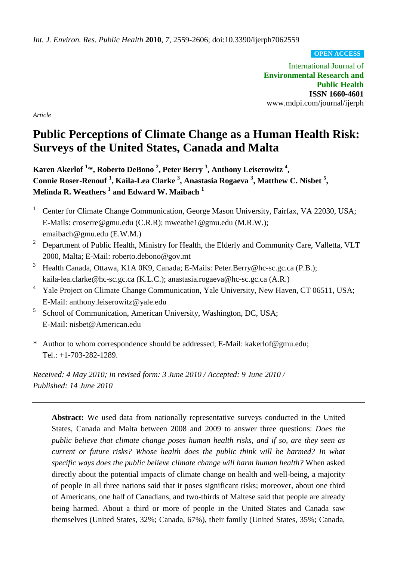*Int. J. Environ. Res. Public Health* **2010**, *7*, 2559-2606; doi:10.3390/ijerph7062559

**OPEN ACCESS**

International Journal of **Environmental Research and Public Health ISSN 1660-4601** www.mdpi.com/journal/ijerph

*Article*

# **Public Perceptions of Climate Change as a Human Health Risk: Surveys of the United States, Canada and Malta**

**Karen Akerlof 1,\*, Roberto DeBono 2 , Peter Berry <sup>3</sup> , Anthony Leiserowitz <sup>4</sup> , Connie Roser-Renouf <sup>1</sup> , Kaila-Lea Clarke <sup>3</sup> , Anastasia Rogaeva <sup>3</sup> , Matthew C. Nisbet <sup>5</sup> , Melinda R. Weathers <sup>1</sup> and Edward W. Maibach <sup>1</sup>**

- <sup>1</sup> Center for Climate Change Communication, George Mason University, Fairfax, VA 22030, USA; E-Mails: croserre@gmu.edu (C.R.R); mweathe1@gmu.edu (M.R.W.); emaibach@gmu.edu (E.W.M.)
- <sup>2</sup> Department of Public Health, Ministry for Health, the Elderly and Community Care, Valletta, VLT 2000, Malta; E-Mail: roberto.debono@gov.mt
- <sup>3</sup> Health Canada, Ottawa, K1A 0K9, Canada; E-Mails: Peter.Berry@hc-sc.gc.ca (P.B.); kaila-lea.clarke@hc-sc.gc.ca (K.L.C.); anastasia.rogaeva@hc-sc.gc.ca (A.R.)
- <sup>4</sup> Yale Project on Climate Change Communication, Yale University, New Haven, CT 06511, USA; E-Mail: anthony.leiserowitz@yale.edu
- <sup>5</sup> School of Communication, American University, Washington, DC, USA; E-Mail: nisbet@American.edu
- \* Author to whom correspondence should be addressed; E-Mail: kakerlof@gmu.edu; Tel.: +1-703-282-1289.

*Received: 4 May 2010; in revised form: 3 June 2010 / Accepted: 9 June 2010 / Published: 14 June 2010*

**Abstract:** We used data from nationally representative surveys conducted in the United States, Canada and Malta between 2008 and 2009 to answer three questions: *Does the public believe that climate change poses human health risks, and if so, are they seen as current or future risks? Whose health does the public think will be harmed? In what specific ways does the public believe climate change will harm human health?* When asked directly about the potential impacts of climate change on health and well-being, a majority of people in all three nations said that it poses significant risks; moreover, about one third of Americans, one half of Canadians, and two-thirds of Maltese said that people are already being harmed. About a third or more of people in the United States and Canada saw themselves (United States, 32%; Canada, 67%), their family (United States, 35%; Canada,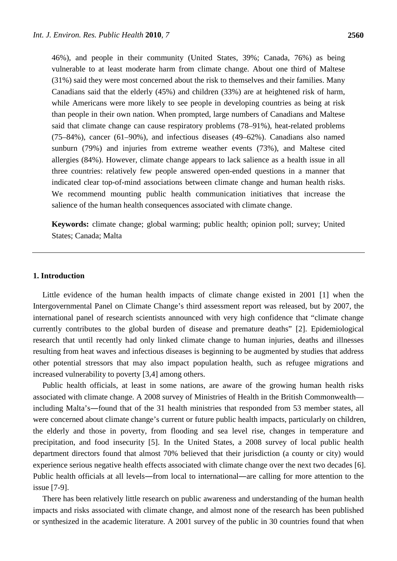46%), and people in their community (United States, 39%; Canada, 76%) as being vulnerable to at least moderate harm from climate change. About one third of Maltese (31%) said they were most concerned about the risk to themselves and their families. Many Canadians said that the elderly (45%) and children (33%) are at heightened risk of harm, while Americans were more likely to see people in developing countries as being at risk than people in their own nation. When prompted, large numbers of Canadians and Maltese said that climate change can cause respiratory problems (78–91%), heat-related problems (75–84%), cancer (61–90%), and infectious diseases (49–62%). Canadians also named sunburn (79%) and injuries from extreme weather events (73%), and Maltese cited allergies (84%). However, climate change appears to lack salience as a health issue in all three countries: relatively few people answered open-ended questions in a manner that indicated clear top-of-mind associations between climate change and human health risks. We recommend mounting public health communication initiatives that increase the salience of the human health consequences associated with climate change.

**Keywords:** climate change; global warming; public health; opinion poll; survey; United States; Canada; Malta

# **1. Introduction**

Little evidence of the human health impacts of climate change existed in 2001 [1] when the Intergovernmental Panel on Climate Change's third assessment report was released, but by 2007, the international panel of research scientists announced with very high confidence that "climate change currently contributes to the global burden of disease and premature deaths" [2]. Epidemiological research that until recently had only linked climate change to human injuries, deaths and illnesses resulting from heat waves and infectious diseases is beginning to be augmented by studies that address other potential stressors that may also impact population health, such as refugee migrations and increased vulnerability to poverty [3,4] among others.

Public health officials, at least in some nations, are aware of the growing human health risks associated with climate change. A 2008 survey of Ministries of Health in the British Commonwealth including Malta's―found that of the 31 health ministries that responded from 53 member states, all were concerned about climate change's current or future public health impacts, particularly on children, the elderly and those in poverty, from flooding and sea level rise, changes in temperature and precipitation, and food insecurity [5]. In the United States, a 2008 survey of local public health department directors found that almost 70% believed that their jurisdiction (a county or city) would experience serious negative health effects associated with climate change over the next two decades [6]. Public health officials at all levels―from local to international―are calling for more attention to the issue [7-9].

There has been relatively little research on public awareness and understanding of the human health impacts and risks associated with climate change, and almost none of the research has been published or synthesized in the academic literature. A 2001 survey of the public in 30 countries found that when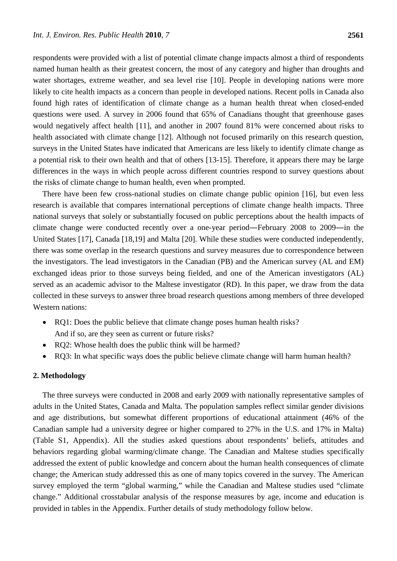respondents were provided with a list of potential climate change impacts almost a third of respondents named human health as their greatest concern, the most of any category and higher than droughts and water shortages, extreme weather, and sea level rise [10]. People in developing nations were more likely to cite health impacts as a concern than people in developed nations. Recent polls in Canada also found high rates of identification of climate change as a human health threat when closed-ended questions were used. A survey in 2006 found that 65% of Canadians thought that greenhouse gases would negatively affect health [11], and another in 2007 found 81% were concerned about risks to health associated with climate change [12]. Although not focused primarily on this research question, surveys in the United States have indicated that Americans are less likely to identify climate change as a potential risk to their own health and that of others [13-15]. Therefore, it appears there may be large differences in the ways in which people across different countries respond to survey questions about the risks of climate change to human health, even when prompted.

There have been few cross-national studies on climate change public opinion [16], but even less research is available that compares international perceptions of climate change health impacts. Three national surveys that solely or substantially focused on public perceptions about the health impacts of climate change were conducted recently over a one-year period―February 2008 to 2009―in the United States [17], Canada [18,19] and Malta [20]. While these studies were conducted independently, there was some overlap in the research questions and survey measures due to correspondence between the investigators. The lead investigators in the Canadian (PB) and the American survey (AL and EM) exchanged ideas prior to those surveys being fielded, and one of the American investigators (AL) served as an academic advisor to the Maltese investigator (RD). In this paper, we draw from the data collected in these surveys to answer three broad research questions among members of three developed Western nations:

- RQ1: Does the public believe that climate change poses human health risks? And if so, are they seen as current or future risks?
- RQ2: Whose health does the public think will be harmed?
- RQ3: In what specific ways does the public believe climate change will harm human health?

#### **2. Methodology**

The three surveys were conducted in 2008 and early 2009 with nationally representative samples of adults in the United States, Canada and Malta. The population samples reflect similar gender divisions and age distributions, but somewhat different proportions of educational attainment (46% of the Canadian sample had a university degree or higher compared to 27% in the U.S. and 17% in Malta) (Table S1, Appendix). All the studies asked questions about respondents' beliefs, attitudes and behaviors regarding global warming/climate change. The Canadian and Maltese studies specifically addressed the extent of public knowledge and concern about the human health consequences of climate change; the American study addressed this as one of many topics covered in the survey. The American survey employed the term "global warming," while the Canadian and Maltese studies used "climate change." Additional crosstabular analysis of the response measures by age, income and education is provided in tables in the Appendix. Further details of study methodology follow below.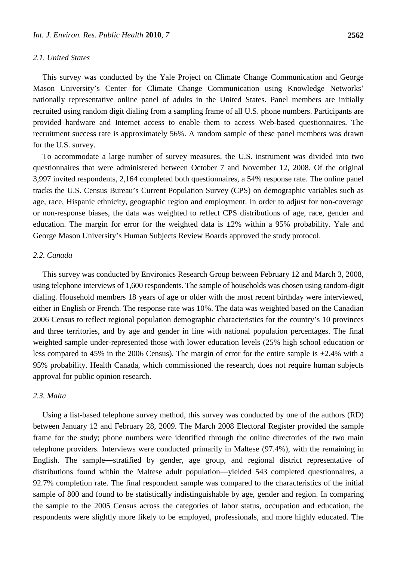#### *2.1. United States*

This survey was conducted by the Yale Project on Climate Change Communication and George Mason University's Center for Climate Change Communication using Knowledge Networks' nationally representative online panel of adults in the United States. Panel members are initially recruited using random digit dialing from a sampling frame of all U.S. phone numbers. Participants are provided hardware and Internet access to enable them to access Web-based questionnaires. The recruitment success rate is approximately 56%. A random sample of these panel members was drawn for the U.S. survey.

To accommodate a large number of survey measures, the U.S. instrument was divided into two questionnaires that were administered between October 7 and November 12, 2008. Of the original 3,997 invited respondents, 2,164 completed both questionnaires, a 54% response rate. The online panel tracks the U.S. Census Bureau's Current Population Survey (CPS) on demographic variables such as age, race, Hispanic ethnicity, geographic region and employment. In order to adjust for non-coverage or non-response biases, the data was weighted to reflect CPS distributions of age, race, gender and education. The margin for error for the weighted data is  $\pm 2\%$  within a 95% probability. Yale and George Mason University's Human Subjects Review Boards approved the study protocol.

#### *2.2. Canada*

This survey was conducted by Environics Research Group between February 12 and March 3, 2008, using telephone interviews of 1,600 respondents. The sample of households was chosen using random-digit dialing. Household members 18 years of age or older with the most recent birthday were interviewed, either in English or French. The response rate was 10%. The data was weighted based on the Canadian 2006 Census to reflect regional population demographic characteristics for the country's 10 provinces and three territories, and by age and gender in line with national population percentages. The final weighted sample under-represented those with lower education levels (25% high school education or less compared to 45% in the 2006 Census). The margin of error for the entire sample is  $\pm 2.4$ % with a 95% probability. Health Canada, which commissioned the research, does not require human subjects approval for public opinion research.

#### *2.3. Malta*

Using a list-based telephone survey method, this survey was conducted by one of the authors (RD) between January 12 and February 28, 2009. The March 2008 Electoral Register provided the sample frame for the study; phone numbers were identified through the online directories of the two main telephone providers. Interviews were conducted primarily in Maltese (97.4%), with the remaining in English. The sample―stratified by gender, age group, and regional district representative of distributions found within the Maltese adult population―yielded 543 completed questionnaires, a 92.7% completion rate. The final respondent sample was compared to the characteristics of the initial sample of 800 and found to be statistically indistinguishable by age, gender and region. In comparing the sample to the 2005 Census across the categories of labor status, occupation and education, the respondents were slightly more likely to be employed, professionals, and more highly educated. The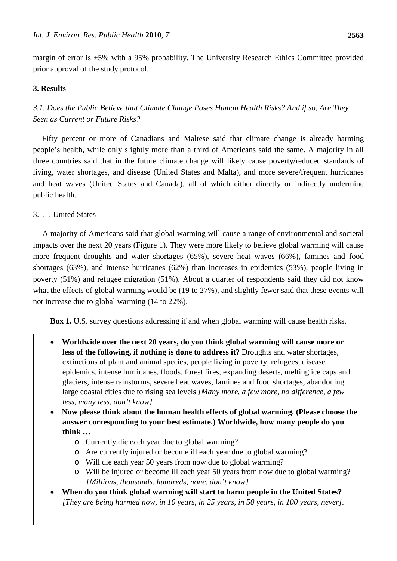margin of error is ±5% with a 95% probability. The University Research Ethics Committee provided prior approval of the study protocol.

# **3. Results**

# *3.1. Does the Public Believe that Climate Change Poses Human Health Risks? And if so, Are They Seen as Current or Future Risks?*

Fifty percent or more of Canadians and Maltese said that climate change is already harming people's health, while only slightly more than a third of Americans said the same. A majority in all three countries said that in the future climate change will likely cause poverty/reduced standards of living, water shortages, and disease (United States and Malta), and more severe/frequent hurricanes and heat waves (United States and Canada), all of which either directly or indirectly undermine public health.

# 3.1.1. United States

A majority of Americans said that global warming will cause a range of environmental and societal impacts over the next 20 years (Figure 1). They were more likely to believe global warming will cause more frequent droughts and water shortages (65%), severe heat waves (66%), famines and food shortages (63%), and intense hurricanes (62%) than increases in epidemics (53%), people living in poverty (51%) and refugee migration (51%). About a quarter of respondents said they did not know what the effects of global warming would be (19 to 27%), and slightly fewer said that these events will not increase due to global warming (14 to 22%).

**Box 1.** U.S. survey questions addressing if and when global warming will cause health risks.

- **Worldwide over the next 20 years, do you think global warming will cause more or less of the following, if nothing is done to address it?** Droughts and water shortages, extinctions of plant and animal species, people living in poverty, refugees, disease epidemics, intense hurricanes, floods, forest fires, expanding deserts, melting ice caps and glaciers, intense rainstorms, severe heat waves, famines and food shortages, abandoning large coastal cities due to rising sea levels *[Many more, a few more, no difference, a few less, many less, don't know]*
- **Now please think about the human health effects of global warming. (Please choose the answer corresponding to your best estimate.) Worldwide, how many people do you think …**
	- o Currently die each year due to global warming?
	- o Are currently injured or become ill each year due to global warming?
	- o Will die each year 50 years from now due to global warming?
	- o Will be injured or become ill each year 50 years from now due to global warming? *[Millions, thousands, hundreds, none, don't know]*
- **When do you think global warming will start to harm people in the United States?** *[They are being harmed now, in 10 years, in 25 years, in 50 years, in 100 years, never].*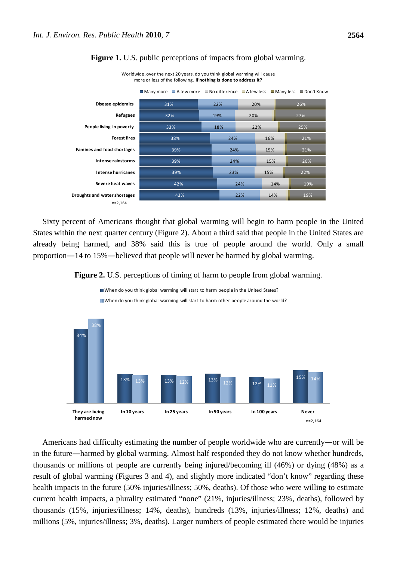

#### **Figure 1.** U.S. public perceptions of impacts from global warming.

Worldwide, over the next 20 years, do you think global warming will cause more or less of the following**, if nothing is done to address it?** 

Sixty percent of Americans thought that global warming will begin to harm people in the United States within the next quarter century (Figure 2). About a third said that people in the United States are already being harmed, and 38% said this is true of people around the world. Only a small proportion―14 to 15%―believed that people will never be harmed by global warming.

**Figure 2.** U.S. perceptions of timing of harm to people from global warming.



Americans had difficulty estimating the number of people worldwide who are currently—or will be in the future―harmed by global warming. Almost half responded they do not know whether hundreds, thousands or millions of people are currently being injured/becoming ill (46%) or dying (48%) as a result of global warming (Figures 3 and 4), and slightly more indicated "don't know" regarding these health impacts in the future (50% injuries/illness; 50%, deaths). Of those who were willing to estimate current health impacts, a plurality estimated "none" (21%, injuries/illness; 23%, deaths), followed by thousands (15%, injuries/illness; 14%, deaths), hundreds (13%, injuries/illness; 12%, deaths) and millions (5%, injuries/illness; 3%, deaths). Larger numbers of people estimated there would be injuries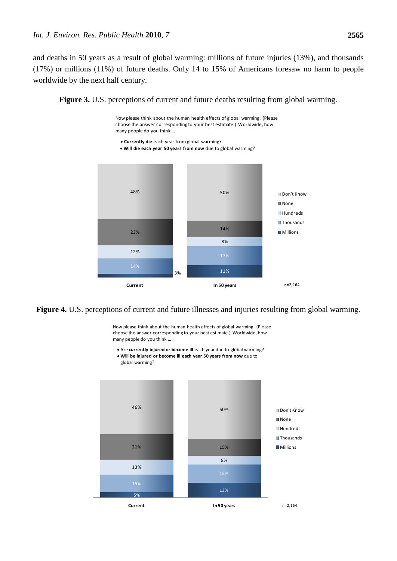and deaths in 50 years as a result of global warming: millions of future injuries (13%), and thousands (17%) or millions (11%) of future deaths. Only 14 to 15% of Americans foresaw no harm to people worldwide by the next half century.



Now please think about the human health effects of global warming. (Please choose the answer corresponding to your best estimate.) Worldwide, how many people do you think …

- **Currently die** each year from global warming?
- **Will die each year 50 years from now** due to global warming?





Now please think about the human health effects of global warming. (Please choose the answer corresponding to your best estimate.) Worldwide, how many people do you think …

- Are **currently injured or become ill** each year due to global warming?
- **Will be injured or become ill each year 50 years from now** due to global warming?

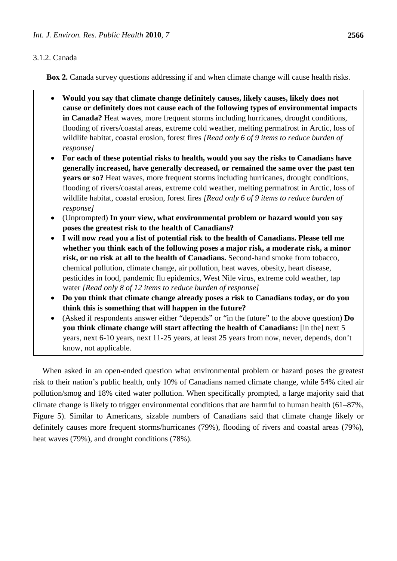# 3.1.2. Canada

**Box 2.** Canada survey questions addressing if and when climate change will cause health risks.

- **Would you say that climate change definitely causes, likely causes, likely does not cause or definitely does not cause each of the following types of environmental impacts in Canada?** Heat waves, more frequent storms including hurricanes, drought conditions, flooding of rivers/coastal areas, extreme cold weather, melting permafrost in Arctic, loss of wildlife habitat, coastal erosion, forest fires *[Read only 6 of 9 items to reduce burden of response]*
- **For each of these potential risks to health, would you say the risks to Canadians have generally increased, have generally decreased, or remained the same over the past ten years or so?** Heat waves, more frequent storms including hurricanes, drought conditions, flooding of rivers/coastal areas, extreme cold weather, melting permafrost in Arctic, loss of wildlife habitat, coastal erosion, forest fires *[Read only 6 of 9 items to reduce burden of response]*
- (Unprompted) **In your view, what environmental problem or hazard would you say poses the greatest risk to the health of Canadians?**
- **I will now read you a list of potential risk to the health of Canadians. Please tell me whether you think each of the following poses a major risk, a moderate risk, a minor risk, or no risk at all to the health of Canadians.** Second-hand smoke from tobacco, chemical pollution, climate change, air pollution, heat waves, obesity, heart disease, pesticides in food, pandemic flu epidemics, West Nile virus, extreme cold weather, tap water *[Read only 8 of 12 items to reduce burden of response]*
- **Do you think that climate change already poses a risk to Canadians today, or do you think this is something that will happen in the future?**
- (Asked if respondents answer either "depends" or "in the future" to the above question) **Do you think climate change will start affecting the health of Canadians:** [in the] next 5 years, next 6-10 years, next 11-25 years, at least 25 years from now, never, depends, don't know, not applicable.

When asked in an open-ended question what environmental problem or hazard poses the greatest risk to their nation's public health, only 10% of Canadians named climate change, while 54% cited air pollution/smog and 18% cited water pollution. When specifically prompted, a large majority said that climate change is likely to trigger environmental conditions that are harmful to human health (61–87%, Figure 5). Similar to Americans, sizable numbers of Canadians said that climate change likely or definitely causes more frequent storms/hurricanes (79%), flooding of rivers and coastal areas (79%), heat waves (79%), and drought conditions (78%).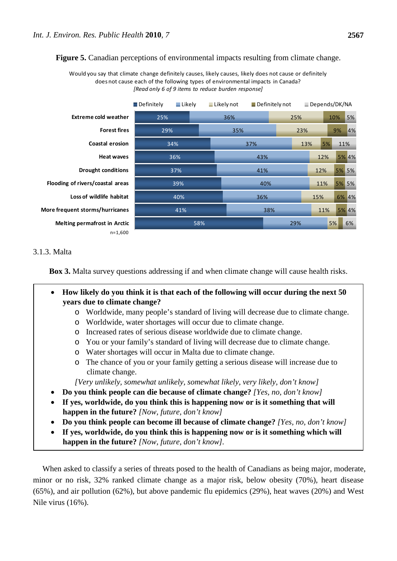**Figure 5.** Canadian perceptions of environmental impacts resulting from climate change.

Would you say that climate change definitely causes, likely causes, likely does not cause or definitely does not cause each of the following types of environmental impacts in Canada? *[Read only 6 of 9 items to reduce burden response]*

|                                     | Definitely | Like | $\blacksquare$ Likely not |     |     | $\blacksquare$ Definitely not |     | Depends/DK/NA |       |       |
|-------------------------------------|------------|------|---------------------------|-----|-----|-------------------------------|-----|---------------|-------|-------|
| <b>Extreme cold weather</b>         | 25%        |      |                           | 36% |     |                               | 25% |               | 10%   | 5%    |
| <b>Forest fires</b>                 |            | 29%  |                           | 35% |     |                               | 23% |               | 9%    | 4%    |
| <b>Coastal erosion</b>              |            | 34%  |                           | 37% |     |                               | 13% | 5%            | 11%   |       |
| <b>Heat waves</b>                   |            | 36%  |                           |     | 43% |                               |     | 12%           |       | 5% 4% |
| <b>Drought conditions</b>           |            | 37%  |                           | 41% |     |                               | 12% |               | 5% 5% |       |
| Flooding of rivers/coastal areas    |            | 39%  |                           | 40% |     |                               |     | 11%           |       | 5% 5% |
| Loss of wildlife habitat            |            | 40%  |                           |     | 36% |                               |     | 15%           |       | 6% 4% |
| More frequent storms/hurricanes     |            | 41%  |                           |     |     | 38%                           |     | 11%           |       | 5% 4% |
| <b>Melting permafrost in Arctic</b> |            | 58%  |                           |     |     |                               | 29% |               | 5%    | 6%    |
| $n=1,600$                           |            |      |                           |     |     |                               |     |               |       |       |

# 3.1.3. Malta

**Box 3.** Malta survey questions addressing if and when climate change will cause health risks.

- **How likely do you think it is that each of the following will occur during the next 50 years due to climate change?**
	- o Worldwide, many people's standard of living will decrease due to climate change.
	- o Worldwide, water shortages will occur due to climate change.
	- o Increased rates of serious disease worldwide due to climate change.
	- o You or your family's standard of living will decrease due to climate change.
	- o Water shortages will occur in Malta due to climate change.
	- o The chance of you or your family getting a serious disease will increase due to climate change.

*[Very unlikely, somewhat unlikely, somewhat likely, very likely, don't know]*

- **Do you think people can die because of climate change?** *[Yes, no, don't know]*
- **If yes, worldwide, do you think this is happening now or is it something that will happen in the future?** *[Now, future, don't know]*
- **Do you think people can become ill because of climate change?** *[Yes, no, don't know]*
- **If yes, worldwide, do you think this is happening now or is it something which will happen in the future?** *[Now, future, don't know].*

When asked to classify a series of threats posed to the health of Canadians as being major, moderate, minor or no risk, 32% ranked climate change as a major risk, below obesity (70%), heart disease (65%), and air pollution (62%), but above pandemic flu epidemics (29%), heat waves (20%) and West Nile virus (16%).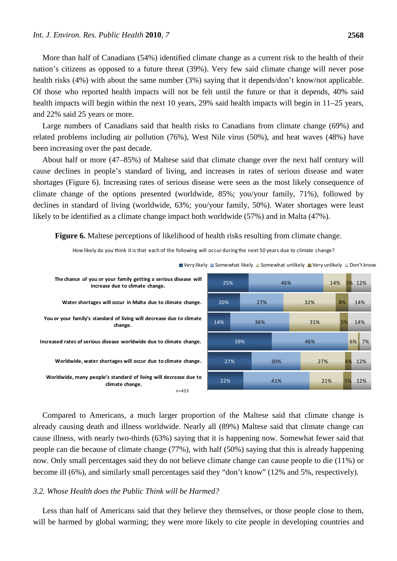More than half of Canadians (54%) identified climate change as a current risk to the health of their nation's citizens as opposed to a future threat (39%). Very few said climate change will never pose health risks (4%) with about the same number (3%) saying that it depends/don't know/not applicable. Of those who reported health impacts will not be felt until the future or that it depends, 40% said health impacts will begin within the next 10 years, 29% said health impacts will begin in 11–25 years, and 22% said 25 years or more.

Large numbers of Canadians said that health risks to Canadians from climate change (69%) and related problems including air pollution (76%), West Nile virus (50%), and heat waves (48%) have been increasing over the past decade.

About half or more (47–85%) of Maltese said that climate change over the next half century will cause declines in people's standard of living, and increases in rates of serious disease and water shortages (Figure 6). Increasing rates of serious disease were seen as the most likely consequence of climate change of the options presented (worldwide, 85%; you/your family, 71%), followed by declines in standard of living (worldwide, 63%; you/your family, 50%). Water shortages were least likely to be identified as a climate change impact both worldwide (57%) and in Malta (47%).

**Figure 6.** Maltese perceptions of likelihood of health risks resulting from climate change.

How likely do you think it is that each of the following will occur during the next 50 years due to climate change?



 $\blacksquare$  Very likely  $\blacksquare$  Somewhat likely  $\blacksquare$  Somewhat unlikely  $\blacksquare$  Very unlikely  $\blacksquare$  Don't know

Compared to Americans, a much larger proportion of the Maltese said that climate change is already causing death and illness worldwide. Nearly all (89%) Maltese said that climate change can cause illness, with nearly two-thirds (63%) saying that it is happening now. Somewhat fewer said that people can die because of climate change (77%), with half (50%) saying that this is already happening now. Only small percentages said they do not believe climate change can cause people to die (11%) or become ill (6%), and similarly small percentages said they "don't know" (12% and 5%, respectively).

#### *3.2. Whose Health does the Public Think will be Harmed?*

Less than half of Americans said that they believe they themselves, or those people close to them, will be harmed by global warming; they were more likely to cite people in developing countries and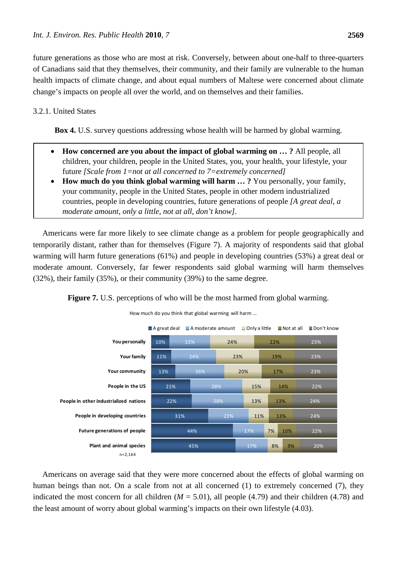future generations as those who are most at risk. Conversely, between about one-half to three-quarters of Canadians said that they themselves, their community, and their family are vulnerable to the human health impacts of climate change, and about equal numbers of Maltese were concerned about climate change's impacts on people all over the world, and on themselves and their families.

# 3.2.1. United States

**Box 4.** U.S. survey questions addressing whose health will be harmed by global warming.

- **How concerned are you about the impact of global warming on … ?** All people, all children, your children, people in the United States, you, your health, your lifestyle, your future *[Scale from 1=not at all concerned to 7=extremely concerned]*
- **How much do you think global warming will harm … ?** You personally, your family, your community, people in the United States, people in other modern industrialized countries, people in developing countries, future generations of people *[A great deal, a moderate amount, only a little, not at all, don't know].*

Americans were far more likely to see climate change as a problem for people geographically and temporarily distant, rather than for themselves (Figure 7). A majority of respondents said that global warming will harm future generations (61%) and people in developing countries (53%) a great deal or moderate amount. Conversely, far fewer respondents said global warming will harm themselves (32%), their family (35%), or their community (39%) to the same degree.



Figure 7. U.S. perceptions of who will be the most harmed from global warming.

Americans on average said that they were more concerned about the effects of global warming on human beings than not. On a scale from not at all concerned (1) to extremely concerned (7), they indicated the most concern for all children  $(M = 5.01)$ , all people (4.79) and their children (4.78) and the least amount of worry about global warming's impacts on their own lifestyle (4.03).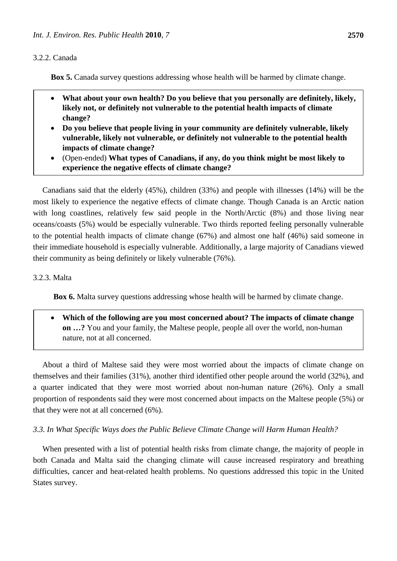#### 3.2.2. Canada

**Box 5.** Canada survey questions addressing whose health will be harmed by climate change.

- **What about your own health? Do you believe that you personally are definitely, likely, likely not, or definitely not vulnerable to the potential health impacts of climate change?**
- **Do you believe that people living in your community are definitely vulnerable, likely vulnerable, likely not vulnerable, or definitely not vulnerable to the potential health impacts of climate change?**
- (Open-ended) **What types of Canadians, if any, do you think might be most likely to experience the negative effects of climate change?**

Canadians said that the elderly (45%), children (33%) and people with illnesses (14%) will be the most likely to experience the negative effects of climate change. Though Canada is an Arctic nation with long coastlines, relatively few said people in the North/Arctic (8%) and those living near oceans/coasts (5%) would be especially vulnerable. Two thirds reported feeling personally vulnerable to the potential health impacts of climate change (67%) and almost one half (46%) said someone in their immediate household is especially vulnerable. Additionally, a large majority of Canadians viewed their community as being definitely or likely vulnerable (76%).

#### 3.2.3. Malta

**Box 6.** Malta survey questions addressing whose health will be harmed by climate change.

• **Which of the following are you most concerned about? The impacts of climate change on …?** You and your family, the Maltese people, people all over the world, non-human nature, not at all concerned.

About a third of Maltese said they were most worried about the impacts of climate change on themselves and their families (31%), another third identified other people around the world (32%), and a quarter indicated that they were most worried about non-human nature (26%). Only a small proportion of respondents said they were most concerned about impacts on the Maltese people (5%) or that they were not at all concerned (6%).

# *3.3. In What Specific Ways does the Public Believe Climate Change will Harm Human Health?*

When presented with a list of potential health risks from climate change, the majority of people in both Canada and Malta said the changing climate will cause increased respiratory and breathing difficulties, cancer and heat-related health problems. No questions addressed this topic in the United States survey.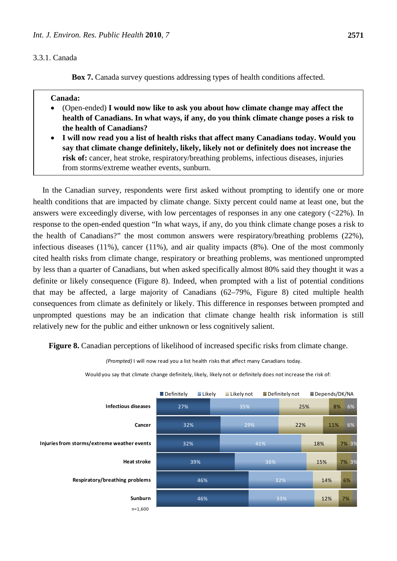#### 3.3.1. Canada

**Box 7.** Canada survey questions addressing types of health conditions affected.

#### **Canada:**

- (Open-ended) **I would now like to ask you about how climate change may affect the health of Canadians. In what ways, if any, do you think climate change poses a risk to the health of Canadians?**
- **I will now read you a list of health risks that affect many Canadians today. Would you say that climate change definitely, likely, likely not or definitely does not increase the risk of:** cancer, heat stroke, respiratory/breathing problems, infectious diseases, injuries from storms/extreme weather events, sunburn.

In the Canadian survey, respondents were first asked without prompting to identify one or more health conditions that are impacted by climate change. Sixty percent could name at least one, but the answers were exceedingly diverse, with low percentages of responses in any one category  $\langle$  <22%). In response to the open-ended question "In what ways, if any, do you think climate change poses a risk to the health of Canadians?" the most common answers were respiratory/breathing problems (22%), infectious diseases (11%), cancer (11%), and air quality impacts (8%). One of the most commonly cited health risks from climate change, respiratory or breathing problems, was mentioned unprompted by less than a quarter of Canadians, but when asked specifically almost 80% said they thought it was a definite or likely consequence (Figure 8). Indeed, when prompted with a list of potential conditions that may be affected, a large majority of Canadians (62–79%, Figure 8) cited multiple health consequences from climate as definitely or likely. This difference in responses between prompted and unprompted questions may be an indication that climate change health risk information is still relatively new for the public and either unknown or less cognitively salient.

**Figure 8.** Canadian perceptions of likelihood of increased specific risks from climate change.

46% 46% 39% 32% 32% 27% 33% 32% 36% 41% 29% 35% 12% 14% 15% 18% 22% 25% 7% 6% 7% 3% 7% 3% 11% 8% 6% 6% **Sunburn Respiratory/breathing problems Heat stroke Injuries from storms/extreme weather events Cancer Infectious diseases** Definitely Likely Likely not Definitely not Depends/DK/NA n=1,600

Would you say that climate change definitely, likely, likely not or definitely does not increase the risk of:

*(Prompted)* I will now read you a list health risks that affect many Canadians today.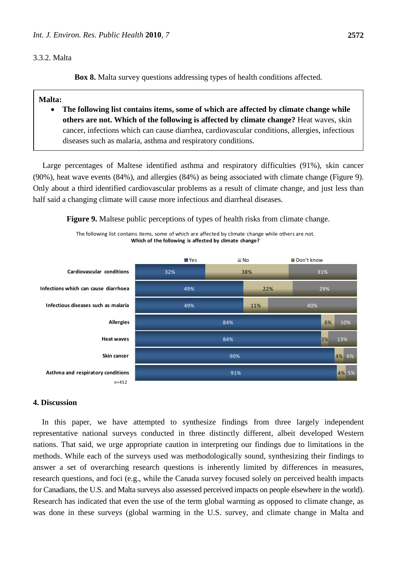#### 3.3.2. Malta

**Box 8.** Malta survey questions addressing types of health conditions affected.

#### **Malta:**

• **The following list contains items, some of which are affected by climate change while others are not. Which of the following is affected by climate change?** Heat waves, skin cancer, infections which can cause diarrhea, cardiovascular conditions, allergies, infectious diseases such as malaria, asthma and respiratory conditions.

Large percentages of Maltese identified asthma and respiratory difficulties (91%), skin cancer (90%), heat wave events (84%), and allergies (84%) as being associated with climate change (Figure 9). Only about a third identified cardiovascular problems as a result of climate change, and just less than half said a changing climate will cause more infectious and diarrheal diseases.

**Figure 9.** Maltese public perceptions of types of health risks from climate change.

The following list contains items, some of which are affected by climate change while others are not. **Which of the following is affected by climate change?**



#### **4. Discussion**

In this paper, we have attempted to synthesize findings from three largely independent representative national surveys conducted in three distinctly different, albeit developed Western nations. That said, we urge appropriate caution in interpreting our findings due to limitations in the methods. While each of the surveys used was methodologically sound, synthesizing their findings to answer a set of overarching research questions is inherently limited by differences in measures, research questions, and foci (e.g., while the Canada survey focused solely on perceived health impacts for Canadians, the U.S. and Malta surveys also assessed perceived impacts on people elsewhere in the world). Research has indicated that even the use of the term global warming as opposed to climate change, as was done in these surveys (global warming in the U.S. survey, and climate change in Malta and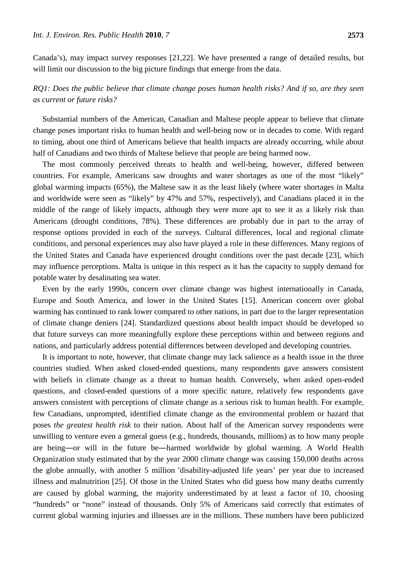Canada's), may impact survey responses [21,22]. We have presented a range of detailed results, but will limit our discussion to the big picture findings that emerge from the data.

# *RQ1: Does the public believe that climate change poses human health risks? And if so, are they seen as current or future risks?*

Substantial numbers of the American, Canadian and Maltese people appear to believe that climate change poses important risks to human health and well-being now or in decades to come. With regard to timing, about one third of Americans believe that health impacts are already occurring, while about half of Canadians and two thirds of Maltese believe that people are being harmed now.

The most commonly perceived threats to health and well-being, however, differed between countries. For example, Americans saw droughts and water shortages as one of the most "likely" global warming impacts (65%), the Maltese saw it as the least likely (where water shortages in Malta and worldwide were seen as "likely" by 47% and 57%, respectively), and Canadians placed it in the middle of the range of likely impacts, although they were more apt to see it as a likely risk than Americans (drought conditions, 78%). These differences are probably due in part to the array of response options provided in each of the surveys. Cultural differences, local and regional climate conditions, and personal experiences may also have played a role in these differences. Many regions of the United States and Canada have experienced drought conditions over the past decade [23], which may influence perceptions. Malta is unique in this respect as it has the capacity to supply demand for potable water by desalinating sea water.

Even by the early 1990s, concern over climate change was highest internationally in Canada, Europe and South America, and lower in the United States [15]. American concern over global warming has continued to rank lower compared to other nations, in part due to the larger representation of climate change deniers [24]. Standardized questions about health impact should be developed so that future surveys can more meaningfully explore these perceptions within and between regions and nations, and particularly address potential differences between developed and developing countries.

It is important to note, however, that climate change may lack salience as a health issue in the three countries studied. When asked closed-ended questions, many respondents gave answers consistent with beliefs in climate change as a threat to human health. Conversely, when asked open-ended questions, and closed-ended questions of a more specific nature, relatively few respondents gave answers consistent with perceptions of climate change as a serious risk to human health. For example, few Canadians, unprompted, identified climate change as the environmental problem or hazard that poses *the greatest health risk* to their nation. About half of the American survey respondents were unwilling to venture even a general guess (e.g., hundreds, thousands, millions) as to how many people are being―or will in the future be―harmed worldwide by global warming. A World Health Organization study estimated that by the year 2000 climate change was causing 150,000 deaths across the globe annually, with another 5 million 'disability-adjusted life years' per year due to increased illness and malnutrition [25]. Of those in the United States who did guess how many deaths currently are caused by global warming, the majority underestimated by at least a factor of 10, choosing "hundreds" or "none" instead of thousands. Only 5% of Americans said correctly that estimates of current global warming injuries and illnesses are in the millions. These numbers have been publicized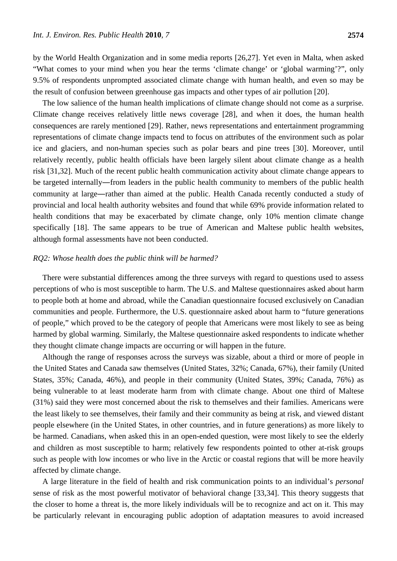by the World Health Organization and in some media reports [26,27]. Yet even in Malta, when asked "What comes to your mind when you hear the terms 'climate change' or 'global warming'?", only 9.5% of respondents unprompted associated climate change with human health, and even so may be the result of confusion between greenhouse gas impacts and other types of air pollution [20].

The low salience of the human health implications of climate change should not come as a surprise. Climate change receives relatively little news coverage [28], and when it does, the human health consequences are rarely mentioned [29]. Rather, news representations and entertainment programming representations of climate change impacts tend to focus on attributes of the environment such as polar ice and glaciers, and non-human species such as polar bears and pine trees [30]. Moreover, until relatively recently, public health officials have been largely silent about climate change as a health risk [31,32]. Much of the recent public health communication activity about climate change appears to be targeted internally―from leaders in the public health community to members of the public health community at large―rather than aimed at the public. Health Canada recently conducted a study of provincial and local health authority websites and found that while 69% provide information related to health conditions that may be exacerbated by climate change, only 10% mention climate change specifically [18]. The same appears to be true of American and Maltese public health websites, although formal assessments have not been conducted.

#### *RQ2: Whose health does the public think will be harmed?*

There were substantial differences among the three surveys with regard to questions used to assess perceptions of who is most susceptible to harm. The U.S. and Maltese questionnaires asked about harm to people both at home and abroad, while the Canadian questionnaire focused exclusively on Canadian communities and people. Furthermore, the U.S. questionnaire asked about harm to "future generations of people," which proved to be the category of people that Americans were most likely to see as being harmed by global warming. Similarly, the Maltese questionnaire asked respondents to indicate whether they thought climate change impacts are occurring or will happen in the future.

Although the range of responses across the surveys was sizable, about a third or more of people in the United States and Canada saw themselves (United States, 32%; Canada, 67%), their family (United States, 35%; Canada, 46%), and people in their community (United States, 39%; Canada, 76%) as being vulnerable to at least moderate harm from with climate change. About one third of Maltese (31%) said they were most concerned about the risk to themselves and their families. Americans were the least likely to see themselves, their family and their community as being at risk, and viewed distant people elsewhere (in the United States, in other countries, and in future generations) as more likely to be harmed. Canadians, when asked this in an open-ended question, were most likely to see the elderly and children as most susceptible to harm; relatively few respondents pointed to other at-risk groups such as people with low incomes or who live in the Arctic or coastal regions that will be more heavily affected by climate change.

A large literature in the field of health and risk communication points to an individual's *personal* sense of risk as the most powerful motivator of behavioral change [33,34]. This theory suggests that the closer to home a threat is, the more likely individuals will be to recognize and act on it. This may be particularly relevant in encouraging public adoption of adaptation measures to avoid increased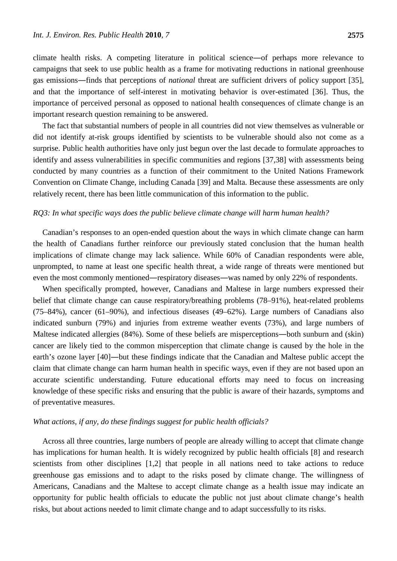climate health risks. A competing literature in political science―of perhaps more relevance to campaigns that seek to use public health as a frame for motivating reductions in national greenhouse gas emissions―finds that perceptions of *national* threat are sufficient drivers of policy support [35], and that the importance of self-interest in motivating behavior is over-estimated [36]. Thus, the importance of perceived personal as opposed to national health consequences of climate change is an important research question remaining to be answered.

The fact that substantial numbers of people in all countries did not view themselves as vulnerable or did not identify at-risk groups identified by scientists to be vulnerable should also not come as a surprise. Public health authorities have only just begun over the last decade to formulate approaches to identify and assess vulnerabilities in specific communities and regions [37,38] with assessments being conducted by many countries as a function of their commitment to the United Nations Framework Convention on Climate Change, including Canada [39] and Malta. Because these assessments are only relatively recent, there has been little communication of this information to the public.

#### *RQ3: In what specific ways does the public believe climate change will harm human health?*

Canadian's responses to an open-ended question about the ways in which climate change can harm the health of Canadians further reinforce our previously stated conclusion that the human health implications of climate change may lack salience. While 60% of Canadian respondents were able, unprompted, to name at least one specific health threat, a wide range of threats were mentioned but even the most commonly mentioned―respiratory diseases―was named by only 22% of respondents.

When specifically prompted, however, Canadians and Maltese in large numbers expressed their belief that climate change can cause respiratory/breathing problems (78–91%), heat-related problems (75–84%), cancer (61–90%), and infectious diseases (49–62%). Large numbers of Canadians also indicated sunburn (79%) and injuries from extreme weather events (73%), and large numbers of Maltese indicated allergies (84%). Some of these beliefs are misperceptions―both sunburn and (skin) cancer are likely tied to the common misperception that climate change is caused by the hole in the earth's ozone layer [40]―but these findings indicate that the Canadian and Maltese public accept the claim that climate change can harm human health in specific ways, even if they are not based upon an accurate scientific understanding. Future educational efforts may need to focus on increasing knowledge of these specific risks and ensuring that the public is aware of their hazards, symptoms and of preventative measures.

# *What actions, if any, do these findings suggest for public health officials?*

Across all three countries, large numbers of people are already willing to accept that climate change has implications for human health. It is widely recognized by public health officials [8] and research scientists from other disciplines [1,2] that people in all nations need to take actions to reduce greenhouse gas emissions and to adapt to the risks posed by climate change. The willingness of Americans, Canadians and the Maltese to accept climate change as a health issue may indicate an opportunity for public health officials to educate the public not just about climate change's health risks, but about actions needed to limit climate change and to adapt successfully to its risks.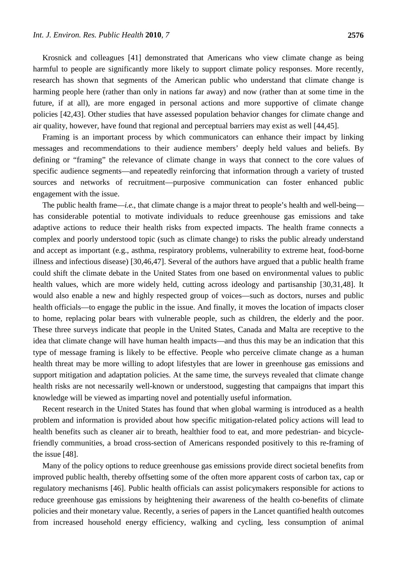Krosnick and colleagues [41] demonstrated that Americans who view climate change as being harmful to people are significantly more likely to support climate policy responses. More recently, research has shown that segments of the American public who understand that climate change is harming people here (rather than only in nations far away) and now (rather than at some time in the future, if at all), are more engaged in personal actions and more supportive of climate change policies [42,43]. Other studies that have assessed population behavior changes for climate change and air quality, however, have found that regional and perceptual barriers may exist as well [44,45].

Framing is an important process by which communicators can enhance their impact by linking messages and recommendations to their audience members' deeply held values and beliefs. By defining or "framing" the relevance of climate change in ways that connect to the core values of specific audience segments—and repeatedly reinforcing that information through a variety of trusted sources and networks of recruitment—purposive communication can foster enhanced public engagement with the issue.

The public health frame—*i.e.*, that climate change is a major threat to people's health and well-being has considerable potential to motivate individuals to reduce greenhouse gas emissions and take adaptive actions to reduce their health risks from expected impacts. The health frame connects a complex and poorly understood topic (such as climate change) to risks the public already understand and accept as important (e.g., asthma, respiratory problems, vulnerability to extreme heat, food-borne illness and infectious disease) [30,46,47]. Several of the authors have argued that a public health frame could shift the climate debate in the United States from one based on environmental values to public health values, which are more widely held, cutting across ideology and partisanship [30,31,48]. It would also enable a new and highly respected group of voices—such as doctors, nurses and public health officials—to engage the public in the issue. And finally, it moves the location of impacts closer to home, replacing polar bears with vulnerable people, such as children, the elderly and the poor. These three surveys indicate that people in the United States, Canada and Malta are receptive to the idea that climate change will have human health impacts—and thus this may be an indication that this type of message framing is likely to be effective. People who perceive climate change as a human health threat may be more willing to adopt lifestyles that are lower in greenhouse gas emissions and support mitigation and adaptation policies. At the same time, the surveys revealed that climate change health risks are not necessarily well-known or understood, suggesting that campaigns that impart this knowledge will be viewed as imparting novel and potentially useful information.

Recent research in the United States has found that when global warming is introduced as a health problem and information is provided about how specific mitigation-related policy actions will lead to health benefits such as cleaner air to breath, healthier food to eat, and more pedestrian- and bicyclefriendly communities, a broad cross-section of Americans responded positively to this re-framing of the issue [48].

Many of the policy options to reduce greenhouse gas emissions provide direct societal benefits from improved public health, thereby offsetting some of the often more apparent costs of carbon tax, cap or regulatory mechanisms [46]. Public health officials can assist policymakers responsible for actions to reduce greenhouse gas emissions by heightening their awareness of the health co-benefits of climate policies and their monetary value. Recently, a series of papers in the Lancet quantified health outcomes from increased household energy efficiency, walking and cycling, less consumption of animal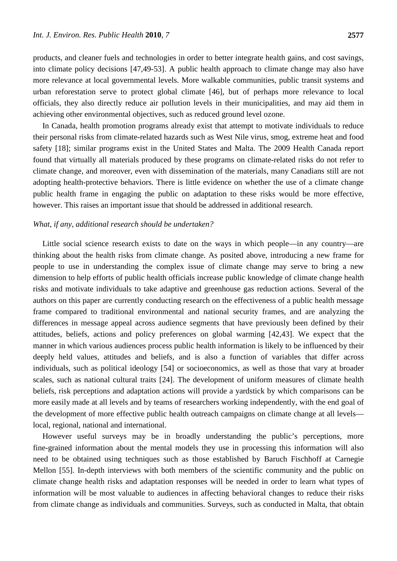products, and cleaner fuels and technologies in order to better integrate health gains, and cost savings, into climate policy decisions [47,49-53]. A public health approach to climate change may also have more relevance at local governmental levels. More walkable communities, public transit systems and urban reforestation serve to protect global climate [46], but of perhaps more relevance to local officials, they also directly reduce air pollution levels in their municipalities, and may aid them in achieving other environmental objectives, such as reduced ground level ozone.

In Canada, health promotion programs already exist that attempt to motivate individuals to reduce their personal risks from climate-related hazards such as West Nile virus, smog, extreme heat and food safety [18]; similar programs exist in the United States and Malta. The 2009 Health Canada report found that virtually all materials produced by these programs on climate-related risks do not refer to climate change, and moreover, even with dissemination of the materials, many Canadians still are not adopting health-protective behaviors. There is little evidence on whether the use of a climate change public health frame in engaging the public on adaptation to these risks would be more effective, however. This raises an important issue that should be addressed in additional research.

#### *What, if any, additional research should be undertaken?*

Little social science research exists to date on the ways in which people—in any country—are thinking about the health risks from climate change. As posited above, introducing a new frame for people to use in understanding the complex issue of climate change may serve to bring a new dimension to help efforts of public health officials increase public knowledge of climate change health risks and motivate individuals to take adaptive and greenhouse gas reduction actions. Several of the authors on this paper are currently conducting research on the effectiveness of a public health message frame compared to traditional environmental and national security frames, and are analyzing the differences in message appeal across audience segments that have previously been defined by their attitudes, beliefs, actions and policy preferences on global warming [42,43]. We expect that the manner in which various audiences process public health information is likely to be influenced by their deeply held values, attitudes and beliefs, and is also a function of variables that differ across individuals, such as political ideology [54] or socioeconomics, as well as those that vary at broader scales, such as national cultural traits [24]. The development of uniform measures of climate health beliefs, risk perceptions and adaptation actions will provide a yardstick by which comparisons can be more easily made at all levels and by teams of researchers working independently, with the end goal of the development of more effective public health outreach campaigns on climate change at all levels local, regional, national and international.

However useful surveys may be in broadly understanding the public's perceptions, more fine-grained information about the mental models they use in processing this information will also need to be obtained using techniques such as those established by Baruch Fischhoff at Carnegie Mellon [55]. In-depth interviews with both members of the scientific community and the public on climate change health risks and adaptation responses will be needed in order to learn what types of information will be most valuable to audiences in affecting behavioral changes to reduce their risks from climate change as individuals and communities. Surveys, such as conducted in Malta, that obtain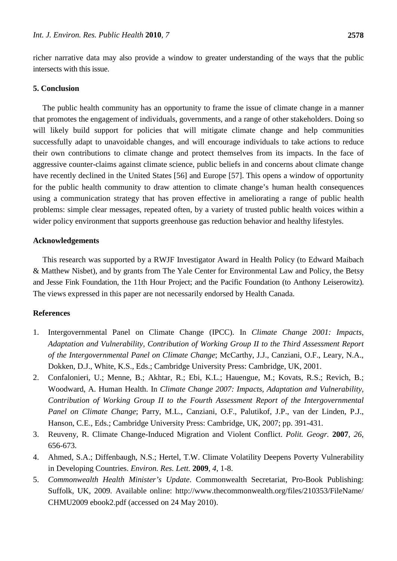richer narrative data may also provide a window to greater understanding of the ways that the public intersects with this issue.

# **5. Conclusion**

The public health community has an opportunity to frame the issue of climate change in a manner that promotes the engagement of individuals, governments, and a range of other stakeholders. Doing so will likely build support for policies that will mitigate climate change and help communities successfully adapt to unavoidable changes, and will encourage individuals to take actions to reduce their own contributions to climate change and protect themselves from its impacts. In the face of aggressive counter-claims against climate science, public beliefs in and concerns about climate change have recently declined in the United States [56] and Europe [57]. This opens a window of opportunity for the public health community to draw attention to climate change's human health consequences using a communication strategy that has proven effective in ameliorating a range of public health problems: simple clear messages, repeated often, by a variety of trusted public health voices within a wider policy environment that supports greenhouse gas reduction behavior and healthy lifestyles.

#### **Acknowledgements**

This research was supported by a RWJF Investigator Award in Health Policy (to Edward Maibach & Matthew Nisbet), and by grants from The Yale Center for Environmental Law and Policy, the Betsy and Jesse Fink Foundation, the 11th Hour Project; and the Pacific Foundation (to Anthony Leiserowitz). The views expressed in this paper are not necessarily endorsed by Health Canada.

#### **References**

- 1. Intergovernmental Panel on Climate Change (IPCC). In *Climate Change 2001: Impacts, Adaptation and Vulnerability, Contribution of Working Group II to the Third Assessment Report of the Intergovernmental Panel on Climate Change*; McCarthy, J.J., Canziani, O.F., Leary, N.A., Dokken, D.J., White, K.S., Eds.; Cambridge University Press: Cambridge, UK, 2001.
- 2. Confalonieri, U.; Menne, B.; Akhtar, R.; Ebi, K.L.; Hauengue, M.; Kovats, R.S.; Revich, B.; Woodward, A. Human Health. In *Climate Change 2007: Impacts, Adaptation and Vulnerability*, *Contribution of Working Group II to the Fourth Assessment Report of the Intergovernmental Panel on Climate Change*; Parry, M.L., Canziani, O.F., Palutikof, J.P., van der Linden, P.J., Hanson, C.E., Eds.; Cambridge University Press: Cambridge, UK, 2007; pp. 391-431.
- 3. Reuveny, R. Climate Change-Induced Migration and Violent Conflict. *Polit. Geogr.* **2007**, *26*, 656-673.
- 4. Ahmed, S.A.; Diffenbaugh, N.S.; Hertel, T.W. Climate Volatility Deepens Poverty Vulnerability in Developing Countries. *Environ. Res. Lett.* **2009**, *4*, 1-8.
- 5. *Commonwealth Health Minister's Update*. Commonwealth Secretariat, Pro-Book Publishing: Suffolk, UK, 2009. Available online: http://www.thecommonwealth.org/files/210353/FileName/ CHMU2009 ebook2.pdf (accessed on 24 May 2010).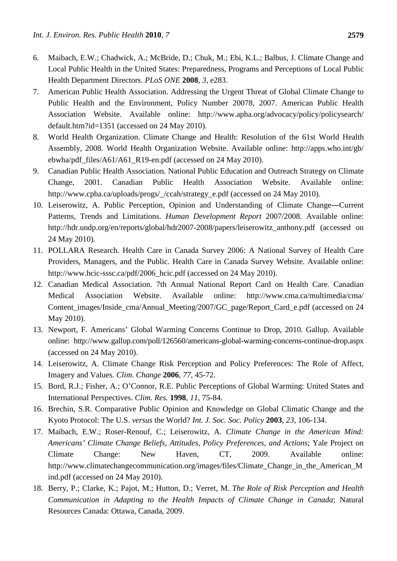- 6. Maibach, E.W.; Chadwick, A.; McBride, D.; Chuk, M.; Ebi, K.L.; Balbus, J. Climate Change and Local Public Health in the United States: Preparedness, Programs and Perceptions of Local Public Health Department Directors. *PLoS ONE* **2008**, *3*, e283.
- 7. American Public Health Association. Addressing the Urgent Threat of Global Climate Change to Public Health and the Environment, Policy Number 20078, 2007. American Public Health Association Website. Available online: http://www.apha.org/advocacy/policy/policysearch/ default.htm?id=1351 (accessed on 24 May 2010).
- 8. World Health Organization. Climate Change and Health: Resolution of the 61st World Health Assembly, 2008. World Health Organization Website. Available online: http://apps.who.int/gb/ ebwha/pdf\_files/A61/A61\_R19-en.pdf (accessed on 24 May 2010).
- 9. Canadian Public Health Association. National Public Education and Outreach Strategy on Climate Change, 2001. Canadian Public Health Association Website. Available online: http://www.cpha.ca/uploads/progs/\_/ccah/strategy\_e.pdf (accessed on 24 May 2010).
- 10. Leiserowitz, A. Public Perception, Opinion and Understanding of Climate Change―Current Patterns, Trends and Limitations. *Human Development Report* 2007/2008. Available online: http://hdr.undp.org/en/reports/global/hdr2007-2008/papers/leiserowitz\_anthony.pdf (accessed on 24 May 2010).
- 11. POLLARA Research. Health Care in Canada Survey 2006: A National Survey of Health Care Providers, Managers, and the Public. Health Care in Canada Survey Website. Available online: http://www.hcic-sssc.ca/pdf/2006\_hcic.pdf (accessed on 24 May 2010).
- 12. Canadian Medical Association. 7th Annual National Report Card on Health Care. Canadian Medical Association Website. Available online: http://www.cma.ca/multimedia/cma/ Content\_images/Inside\_cma/Annual\_Meeting/2007/GC\_page/Report\_Card\_e.pdf (accessed on 24 May 2010).
- 13. Newport, F. Americans' Global Warming Concerns Continue to Drop, 2010. Gallup. Available online: http://www.gallup.com/poll/126560/americans-global-warming-concerns-continue-drop.aspx (accessed on 24 May 2010).
- 14. Leiserowitz, A. Climate Change Risk Perception and Policy Preferences: The Role of Affect, Imagery and Values. *Clim. Change* **2006**, *77*, 45-72.
- 15. Bord, R.J.; Fisher, A.; O'Connor, R.E. Public Perceptions of Global Warming: United States and International Perspectives. *Clim. Res.* **1998**, *11*, 75-84.
- 16. Brechin, S.R. Comparative Public Opinion and Knowledge on Global Climatic Change and the Kyoto Protocol: The U.S. *versus* the World? *Int. J. Soc. Soc. Policy* **2003**, *23*, 106-134.
- 17. Maibach, E.W.; Roser-Renouf, C.; Leiserowitz, A. *Climate Change in the American Mind: Americans' Climate Change Beliefs, Attitudes, Policy Preferences, and Actions*; Yale Project on Climate Change: New Haven, CT, 2009. Available online: http://www.climatechangecommunication.org/images/files/Climate\_Change\_in\_the\_American\_M ind.pdf (accessed on 24 May 2010).
- 18. Berry, P.; Clarke, K.; Pajot, M.; Hutton, D.; Verret, M. *The Role of Risk Perception and Health Communication in Adapting to the Health Impacts of Climate Change in Canada*; Natural Resources Canada: Ottawa, Canada, 2009.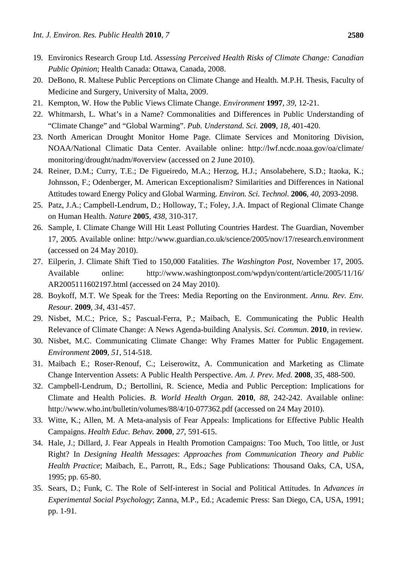- 19. Environics Research Group Ltd. *Assessing Perceived Health Risks of Climate Change: Canadian Public Opinion*; Health Canada: Ottawa, Canada, 2008.
- 20. DeBono, R. Maltese Public Perceptions on Climate Change and Health. M.P.H. Thesis, Faculty of Medicine and Surgery, University of Malta, 2009.
- 21. Kempton, W. How the Public Views Climate Change. *Environment* **1997**, *39*, 12-21.
- 22. Whitmarsh, L. What's in a Name? Commonalities and Differences in Public Understanding of "Climate Change" and "Global Warming". *Pub. Understand. Sci.* **2009**, *18*, 401-420.
- 23. North American Drought Monitor Home Page. Climate Services and Monitoring Division, NOAA/National Climatic Data Center. Available online: http://lwf.ncdc.noaa.gov/oa/climate/ monitoring/drought/nadm/#overview (accessed on 2 June 2010).
- 24. Reiner, D.M.; Curry, T.E.; De Figueiredo, M.A.; Herzog, H.J.; Ansolabehere, S.D.; Itaoka, K.; Johnsson, F.; Odenberger, M. American Exceptionalism? Similarities and Differences in National Attitudes toward Energy Policy and Global Warming. *Environ. Sci. Technol*. **2006**, *40*, 2093-2098.
- 25. Patz, J.A.; Campbell-Lendrum, D.; Holloway, T.; Foley, J.A. Impact of Regional Climate Change on Human Health. *Nature* **2005**, *438*, 310-317.
- 26. Sample, I. Climate Change Will Hit Least Polluting Countries Hardest. The Guardian, November 17, 2005. Available online: http://www.guardian.co.uk/science/2005/nov/17/research.environment (accessed on 24 May 2010).
- 27. Eilperin, J. Climate Shift Tied to 150,000 Fatalities. *The Washington Post*, November 17, 2005. Available online: http://www.washingtonpost.com/wpdyn/content/article/2005/11/16/ AR2005111602197.html (accessed on 24 May 2010).
- 28. Boykoff, M.T. We Speak for the Trees: Media Reporting on the Environment. *Annu. Rev. Env. Resour.* **2009**, *34*, 431-457.
- 29. Nisbet, M.C.; Price, S.; Pascual-Ferra, P.; Maibach, E. Communicating the Public Health Relevance of Climate Change: A News Agenda-building Analysis. *Sci. Commun*. **2010**, in review.
- 30. Nisbet, M.C. Communicating Climate Change: Why Frames Matter for Public Engagement. *Environment* **2009**, *51*, 514-518.
- 31. Maibach E.; Roser-Renouf, C.; Leiserowitz, A. Communication and Marketing as Climate Change Intervention Assets: A Public Health Perspective. *Am. J. Prev. Med.* **2008**, *35*, 488-500.
- 32. Campbell-Lendrum, D.; Bertollini, R. Science, Media and Public Perception: Implications for Climate and Health Policies. *B. World Health Organ.* **2010**, *88*, 242-242. Available online: http://www.who.int/bulletin/volumes/88/4/10-077362.pdf (accessed on 24 May 2010).
- 33. Witte, K.; Allen, M. A Meta-analysis of Fear Appeals: Implications for Effective Public Health Campaigns. *Health Educ. Behav.* **2000**, *27*, 591-615.
- 34. Hale, J.; Dillard, J. Fear Appeals in Health Promotion Campaigns: Too Much, Too little, or Just Right? In *Designing Health Messages*: *Approaches from Communication Theory and Public Health Practice*; Maibach, E., Parrott, R., Eds.; Sage Publications: Thousand Oaks, CA, USA, 1995; pp. 65-80.
- 35. Sears, D.; Funk, C. The Role of Self-interest in Social and Political Attitudes. In *Advances in Experimental Social Psychology*; Zanna, M.P., Ed.; Academic Press: San Diego, CA, USA, 1991; pp. 1-91.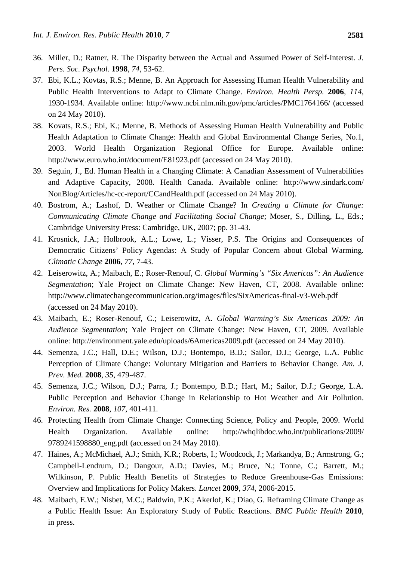- 36. Miller, D.; Ratner, R. The Disparity between the Actual and Assumed Power of Self-Interest. *J. Pers. Soc. Psychol.* **1998**, *74*, 53-62.
- 37. Ebi, K.L.; Kovtas, R.S.; Menne, B. An Approach for Assessing Human Health Vulnerability and Public Health Interventions to Adapt to Climate Change. *Environ. Health Persp.* **2006**, *114*, 1930-1934. Available online: http://www.ncbi.nlm.nih.gov/pmc/articles/PMC1764166/ (accessed on 24 May 2010).
- 38. Kovats, R.S.; Ebi, K.; Menne, B. Methods of Assessing Human Health Vulnerability and Public Health Adaptation to Climate Change: Health and Global Environmental Change Series, No.1, 2003. World Health Organization Regional Office for Europe. Available online: <http://www.euro.who.int/document/E81923.pdf> (accessed on 24 May 2010).
- 39. Seguin, J., Ed. Human Health in a Changing Climate: A Canadian Assessment of Vulnerabilities and Adaptive Capacity, 2008*.* Health Canada. Available online: http://www.sindark.com/ NonBlog/Articles/hc-cc-report/CCandHealth.pdf (accessed on 24 May 2010).
- 40. Bostrom, A.; Lashof, D. Weather or Climate Change? In *Creating a Climate for Change: Communicating Climate Change and Facilitating Social Change*; Moser, S., Dilling, L., Eds.; Cambridge University Press: Cambridge, UK, 2007; pp. 31-43.
- 41. Krosnick, J.A.; Holbrook, A.L.; Lowe, L.; Visser, P.S. The Origins and Consequences of Democratic Citizens' Policy Agendas: A Study of Popular Concern about Global Warming. *Climatic Change* **2006**, *77*, 7-43.
- 42. Leiserowitz, A.; Maibach, E.; Roser-Renouf, C. *Global Warming's "Six Americas": An Audience Segmentation*; Yale Project on Climate Change: New Haven, CT, 2008. Available online: http://www.climatechangecommunication.org/images/files/SixAmericas-final-v3-Web.pdf (accessed on 24 May 2010).
- 43. Maibach, E.; Roser-Renouf, C.; Leiserowitz, A. *Global Warming's Six Americas 2009: An Audience Segmentation*; Yale Project on Climate Change: New Haven, CT, 2009. Available online: http://environment.yale.edu/uploads/6Americas2009.pdf (accessed on 24 May 2010).
- 44. Semenza, J.C.; Hall, D.E.; Wilson, D.J.; Bontempo, B.D.; Sailor, D.J.; George, L.A. Public Perception of Climate Change: Voluntary Mitigation and Barriers to Behavior Change. *Am. J. Prev. Med.* **2008**, *35*, 479-487.
- 45. Semenza, J.C.; Wilson, D.J.; Parra, J.; Bontempo, B.D.; Hart, M.; Sailor, D.J.; George, L.A. Public Perception and Behavior Change in Relationship to Hot Weather and Air Pollution. *Environ. Res.* **2008**, *107*, 401-411.
- 46. Protecting Health from Climate Change: Connecting Science, Policy and People, 2009. World Health Organization. Available online: http://whqlibdoc.who.int/publications/2009/ 9789241598880\_eng.pdf (accessed on 24 May 2010).
- 47. Haines, A.; McMichael, A.J.; Smith, K.R.; Roberts, I.; Woodcock, J.; Markandya, B.; Armstrong, G.; Campbell-Lendrum, D.; Dangour, A.D.; Davies, M.; Bruce, N.; Tonne, C.; Barrett, M.; Wilkinson, P. Public Health Benefits of Strategies to Reduce Greenhouse-Gas Emissions: Overview and Implications for Policy Makers. *Lancet* **2009**, *[374](http://www.thelancet.com/journals/lancet/issue/vol374no9706/PIIS0140-6736%2809%29X6104-0)*, 2006-2015.
- 48. Maibach, E.W.; Nisbet, M.C.; Baldwin, P.K.; Akerlof, K.; Diao, G. Reframing Climate Change as a Public Health Issue: An Exploratory Study of Public Reactions. *BMC Public Health* **2010**, in press.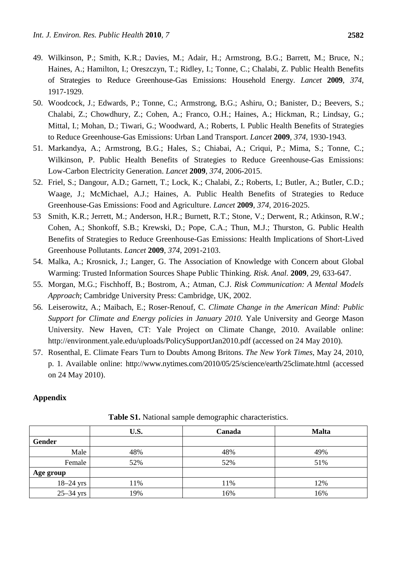- 49. Wilkinson, P.; Smith, K.R.; Davies, M.; Adair, H.; Armstrong, B.G.; Barrett, M.; Bruce, N.; Haines, A.; Hamilton, I.; Oreszczyn, T.; Ridley, I.; Tonne, C.; Chalabi, Z. Public Health Benefits of Strategies to Reduce Greenhouse-Gas Emissions: Household Energy. *Lancet* **2009**, *374*, 1917-1929.
- 50. Woodcock, J.; Edwards, P.; Tonne, C.; Armstrong, B.G.; Ashiru, O.; Banister, D.; Beevers, S.; Chalabi, Z.; Chowdhury, Z.; Cohen, A.; Franco, O.H.; Haines, A.; Hickman, R.; Lindsay, G.; Mittal, I.; Mohan, D.; Tiwari, G.; Woodward, A.; Roberts, I. Public Health Benefits of Strategies to Reduce Greenhouse-Gas Emissions: Urban Land Transport. *Lancet* **2009**, *[374](http://www.sciencedirect.com.mutex.gmu.edu/science?_ob=PublicationURL&_tockey=%23TOC%234886%232009%23996250294%231575091%23FLA%23&_cdi=4886&_pubType=J&view=c&_auth=y&_acct=C000035118&_version=1&_urlVersion=0&_userid=650615&md5=22ca6a612ccbffab8ae67eb366be2d83)*, 1930-1943.
- 51. Markandya, A.; Armstrong, B.G.; Hales, S.; Chiabai, A.; Criqui, P.; Mima, S.; Tonne, C.; Wilkinson, P. Public Health Benefits of Strategies to Reduce Greenhouse-Gas Emissions: Low-Carbon Electricity Generation. *Lancet* **2009**, *374*, 2006-2015.
- 52. Friel, S.; Dangour, A.D.; Garnett, T.; Lock, K.; Chalabi, Z.; Roberts, I.; Butler, A.; Butler, C.D.; Waage, J.; McMichael, A.J.; Haines, A. Public Health Benefits of Strategies to Reduce Greenhouse-Gas Emissions: Food and Agriculture. *Lancet* **2009**, *374*, 2016-2025.
- 53 Smith, K.R.; Jerrett, M.; Anderson, H.R.; Burnett, R.T.; Stone, V.; Derwent, R.; Atkinson, R.W.; Cohen, A.; Shonkoff, S.B.; Krewski, D.; Pope, C.A.; Thun, M.J.; Thurston, G. Public Health Benefits of Strategies to Reduce Greenhouse-Gas Emissions: Health Implications of Short-Lived Greenhouse Pollutants. *Lancet* **2009**, *374*, 2091-2103.
- 54. Malka, A.; Krosnick, J.; Langer, G. The Association of Knowledge with Concern about Global Warming: Trusted Information Sources Shape Public Thinking. *Risk. Anal.* **2009**, *29*, 633-647.
- 55. Morgan, M.G.; Fischhoff, B.; Bostrom, A.; Atman, C.J. *Risk Communication: A Mental Models Approach*; Cambridge University Press: Cambridge, UK, 2002.
- 56. Leiserowitz, A.; Maibach, E.; Roser-Renouf, C. *Climate Change in the American Mind: Public Support for Climate and Energy policies in January 2010.* Yale University and George Mason University. New Haven, CT: Yale Project on Climate Change, 2010. Available online: http://environment.yale.edu/uploads/PolicySupportJan2010.pdf (accessed on 24 May 2010).
- 57. Rosenthal, E. Climate Fears Turn to Doubts Among Britons. *The New York Times*, May 24, 2010, p. 1. Available online: <http://www.nytimes.com/2010/05/25/science/earth/25climate.html> (accessed on 24 May 2010).

# **Appendix**

|             | U.S. | Canada | <b>Malta</b> |
|-------------|------|--------|--------------|
| Gender      |      |        |              |
| Male        | 48%  | 48%    | 49%          |
| Female      | 52%  | 52%    | 51%          |
| Age group   |      |        |              |
| $18-24$ yrs | 11%  | 11%    | 12%          |
| $25-34$ yrs | 19%  | 16%    | 16%          |

**Table S1.** National sample demographic characteristics.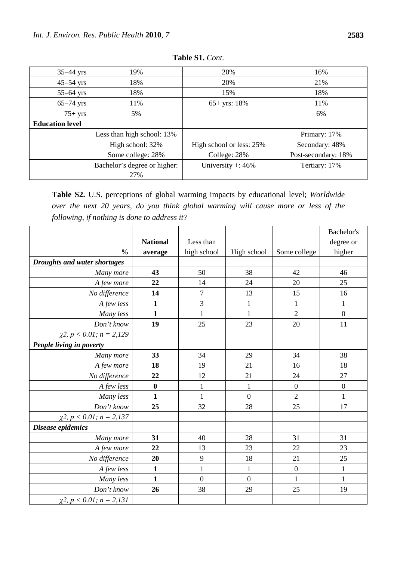| $35-44$ yrs            | 19%                          | 20%                      | 16%                 |
|------------------------|------------------------------|--------------------------|---------------------|
| $45-54$ yrs            | 18%                          | 20%                      | 21%                 |
| $55-64$ yrs            | 18%                          | 15%                      | 18%                 |
| $65-74$ yrs            | 11%                          | $65+$ yrs: 18%           | 11%                 |
| $75+$ yrs              | 5%                           |                          | 6%                  |
| <b>Education level</b> |                              |                          |                     |
|                        | Less than high school: 13%   |                          | Primary: 17%        |
|                        | High school: 32%             | High school or less: 25% | Secondary: 48%      |
|                        | Some college: 28%            | College: 28%             | Post-secondary: 18% |
|                        | Bachelor's degree or higher: | University +: $46\%$     | Tertiary: 17%       |
|                        | 27%                          |                          |                     |

**Table S1.** *Cont.*

**Table S2.** U.S. perceptions of global warming impacts by educational level; *Worldwide over the next 20 years, do you think global warming will cause more or less of the following, if nothing is done to address it?*

|                                     |                 |                  |              |                  | Bachelor's       |
|-------------------------------------|-----------------|------------------|--------------|------------------|------------------|
|                                     | <b>National</b> | Less than        |              |                  | degree or        |
| $\frac{0}{0}$                       | average         | high school      | High school  | Some college     | higher           |
| <b>Droughts and water shortages</b> |                 |                  |              |                  |                  |
| Many more                           | 43              | 50               | 38           | 42               | 46               |
| A few more                          | 22              | 14               | 24           | 20               | 25               |
| No difference                       | 14              | $\overline{7}$   | 13           | 15               | 16               |
| A few less                          | $\mathbf{1}$    | 3                | $\mathbf{1}$ | $\mathbf{1}$     | $\mathbf{1}$     |
| Many less                           | 1               | 1                | $\mathbf{1}$ | $\overline{2}$   | $\boldsymbol{0}$ |
| Don't know                          | 19              | 25               | 23           | 20               | 11               |
| $\chi$ 2, $p < 0.01$ ; $n = 2,129$  |                 |                  |              |                  |                  |
| People living in poverty            |                 |                  |              |                  |                  |
| Many more                           | 33              | 34               | 29           | 34               | 38               |
| A few more                          | 18              | 19               | 21           | 16               | 18               |
| No difference                       | 22              | 12               | 21           | 24               | 27               |
| A few less                          | $\bf{0}$        | $\mathbf{1}$     | $\mathbf{1}$ | $\overline{0}$   | $\mathbf{0}$     |
| Many less                           | $\mathbf{1}$    | $\mathbf{1}$     | $\mathbf{0}$ | $\overline{2}$   | $\mathbf{1}$     |
| Don't know                          | 25              | 32               | 28           | 25               | 17               |
| $\chi$ 2, p < 0.01; n = 2,137       |                 |                  |              |                  |                  |
| Disease epidemics                   |                 |                  |              |                  |                  |
| Many more                           | 31              | 40               | 28           | 31               | 31               |
| A few more                          | 22              | 13               | 23           | 22               | 23               |
| No difference                       | 20              | 9                | 18           | 21               | 25               |
| A few less                          | $\mathbf{1}$    | $\mathbf{1}$     | $\mathbf{1}$ | $\boldsymbol{0}$ | $\mathbf{1}$     |
| Many less                           | $\mathbf{1}$    | $\boldsymbol{0}$ | $\mathbf{0}$ | $\mathbf{1}$     | $\mathbf{1}$     |
| Don't know                          | 26              | 38               | 29           | 25               | 19               |
| $\chi$ 2, p < 0.01; n = 2,131       |                 |                  |              |                  |                  |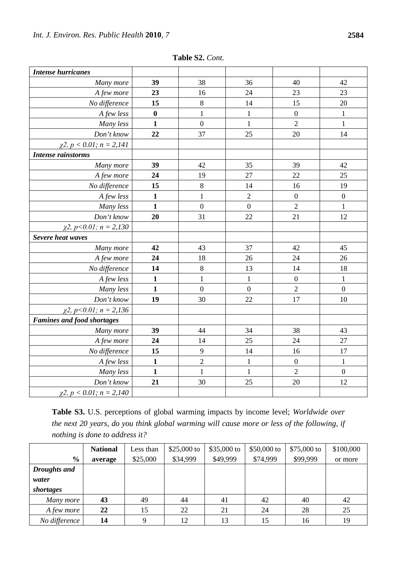| <b>Intense hurricanes</b>          |                  |                  |                |                  |                  |
|------------------------------------|------------------|------------------|----------------|------------------|------------------|
| Many more                          | 39               | 38               | 36             | 40               | 42               |
| A few more                         | 23               | 16               | 24             | 23               | 23               |
| No difference                      | 15               | $\,8\,$          | 14             | 15               | 20               |
| A few less                         | $\boldsymbol{0}$ | $\mathbf{1}$     | $\mathbf{1}$   | $\boldsymbol{0}$ | $\mathbf{1}$     |
| Many less                          | $\mathbf{1}$     | $\overline{0}$   | $\mathbf{1}$   | $\overline{2}$   | $\mathbf{1}$     |
| Don't know                         | 22               | 37               | 25             | 20               | 14               |
| $\chi$ 2, p < 0.01; n = 2,141      |                  |                  |                |                  |                  |
| <b>Intense rainstorms</b>          |                  |                  |                |                  |                  |
| Many more                          | 39               | 42               | 35             | 39               | 42               |
| A few more                         | 24               | 19               | 27             | 22               | 25               |
| No difference                      | 15               | $\,8\,$          | 14             | 16               | 19               |
| A few less                         | $\mathbf{1}$     | $\mathbf{1}$     | $\overline{2}$ | $\boldsymbol{0}$ | $\boldsymbol{0}$ |
| Many less                          | $\mathbf{1}$     | $\boldsymbol{0}$ | $\overline{0}$ | $\overline{2}$   | $\,1$            |
| Don't know                         | 20               | 31               | 22             | 21               | 12               |
| $\chi$ 2, p < 0.01; n = 2,130      |                  |                  |                |                  |                  |
| Severe heat waves                  |                  |                  |                |                  |                  |
| Many more                          | 42               | 43               | 37             | 42               | 45               |
| A few more                         | 24               | 18               | 26             | 24               | 26               |
| No difference                      | 14               | $\,8\,$          | 13             | 14               | 18               |
| A few less                         | $\mathbf{1}$     | $\mathbf{1}$     | $\,1$          | $\boldsymbol{0}$ | $\mathbf{1}$     |
| Many less                          | $\mathbf{1}$     | $\overline{0}$   | $\overline{0}$ | $\overline{2}$   | $\overline{0}$   |
| Don't know                         | 19               | 30               | 22             | 17               | 10               |
| $\chi$ 2, p<0.01; n = 2,136        |                  |                  |                |                  |                  |
| <b>Famines and food shortages</b>  |                  |                  |                |                  |                  |
| Many more                          | 39               | 44               | 34             | 38               | 43               |
| A few more                         | 24               | 14               | 25             | 24               | 27               |
| No difference                      | 15               | 9                | 14             | 16               | 17               |
| A few less                         | $\mathbf{1}$     | $\overline{2}$   | $\mathbf{1}$   | $\boldsymbol{0}$ | $\mathbf{1}$     |
| Many less                          | $\mathbf{1}$     | $\mathbf{1}$     | $\mathbf{1}$   | $\overline{2}$   | $\boldsymbol{0}$ |
| Don't know                         | 21               | 30               | 25             | 20               | 12               |
| $\chi$ 2, $p < 0.01$ ; $n = 2,140$ |                  |                  |                |                  |                  |

**Table S2.** *Cont.*

**Table S3.** U.S. perceptions of global warming impacts by income level; *Worldwide over the next 20 years, do you think global warming will cause more or less of the following, if nothing is done to address it?*

|               | <b>National</b> | Less than | \$25,000 to | \$35,000 to | \$50,000 to | $$75,000$ to | \$100,000 |
|---------------|-----------------|-----------|-------------|-------------|-------------|--------------|-----------|
| $\frac{0}{0}$ | average         | \$25,000  | \$34,999    | \$49,999    | \$74,999    | \$99,999     | or more   |
| Droughts and  |                 |           |             |             |             |              |           |
| water         |                 |           |             |             |             |              |           |
| shortages     |                 |           |             |             |             |              |           |
| Many more     | 43              | 49        | 44          | 41          | 42          | 40           | 42        |
| A few more    | 22              | 15        | 22          | 21          | 24          | 28           | 25        |
| No difference | 14              |           | 12          | 13          | 15          | 16           | 19        |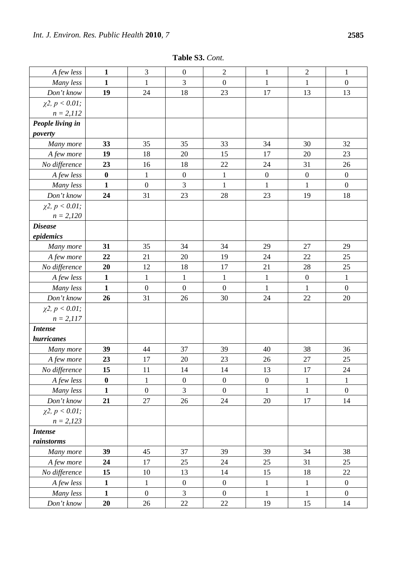**Table S3.** *Cont.*

| A few less              | $\mathbf{1}$     | 3                | $\boldsymbol{0}$ | $\sqrt{2}$       | $\mathbf{1}$     | $\mathbf{2}$     | 1                |
|-------------------------|------------------|------------------|------------------|------------------|------------------|------------------|------------------|
| Many less               | $\mathbf{1}$     | $\mathbf{1}$     | 3                | $\boldsymbol{0}$ | $\mathbf{1}$     | $\mathbf{1}$     | $\boldsymbol{0}$ |
| Don't know              | 19               | 24               | 18               | 23               | 17               | 13               | 13               |
| $\chi^2$ , $p < 0.01$ ; |                  |                  |                  |                  |                  |                  |                  |
| $n = 2,112$             |                  |                  |                  |                  |                  |                  |                  |
| People living in        |                  |                  |                  |                  |                  |                  |                  |
| poverty                 |                  |                  |                  |                  |                  |                  |                  |
| Many more               | 33               | 35               | 35               | 33               | 34               | 30               | 32               |
| A few more              | 19               | 18               | 20               | 15               | 17               | 20               | 23               |
| No difference           | 23               | 16               | 18               | 22               | 24               | 31               | 26               |
| A few less              | $\bf{0}$         | $\mathbf{1}$     | $\boldsymbol{0}$ | $\mathbf{1}$     | $\boldsymbol{0}$ | $\boldsymbol{0}$ | $\boldsymbol{0}$ |
| Many less               | $\mathbf{1}$     | $\boldsymbol{0}$ | 3                | $\mathbf{1}$     | $\mathbf{1}$     | $\mathbf{1}$     | $\boldsymbol{0}$ |
| Don't know              | 24               | 31               | 23               | 28               | 23               | 19               | 18               |
| $\chi^2$ , $p < 0.01$ ; |                  |                  |                  |                  |                  |                  |                  |
| $n = 2,120$             |                  |                  |                  |                  |                  |                  |                  |
| <b>Disease</b>          |                  |                  |                  |                  |                  |                  |                  |
| epidemics               |                  |                  |                  |                  |                  |                  |                  |
| Many more               | 31               | 35               | 34               | 34               | 29               | 27               | 29               |
| A few more              | 22               | 21               | 20               | 19               | 24               | 22               | 25               |
| No difference           | 20               | 12               | 18               | 17               | 21               | 28               | 25               |
| A few less              | $\mathbf{1}$     | $\mathbf{1}$     | $\mathbf{1}$     | $\mathbf{1}$     | $\mathbf{1}$     | $\boldsymbol{0}$ | $\mathbf{1}$     |
| Many less               | $\mathbf{1}$     | $\overline{0}$   | $\boldsymbol{0}$ | $\overline{0}$   | $\mathbf{1}$     | $\mathbf{1}$     | $\overline{0}$   |
| Don't know              | 26               | 31               | 26               | 30               | 24               | $22\,$           | 20               |
| $\chi^2$ , $p < 0.01$ ; |                  |                  |                  |                  |                  |                  |                  |
| $n = 2,117$             |                  |                  |                  |                  |                  |                  |                  |
| <b>Intense</b>          |                  |                  |                  |                  |                  |                  |                  |
| hurricanes              |                  |                  |                  |                  |                  |                  |                  |
| Many more               | 39               | 44               | 37               | 39               | 40               | 38               | 36               |
| A few more              | 23               | 17               | 20               | 23               | 26               | 27               | 25               |
| No difference           | 15               | 11               | 14               | 14               | 13               | 17               | 24               |
| A few less              | $\boldsymbol{0}$ | $\mathbf{1}$     | $\boldsymbol{0}$ | $\boldsymbol{0}$ | $\boldsymbol{0}$ | $\mathbf{1}$     | $\mathbf{1}$     |
| Many less               | $\mathbf{1}$     | $\boldsymbol{0}$ | 3                | $\boldsymbol{0}$ | $\mathbf{1}$     | $\mathbf{1}$     | $\boldsymbol{0}$ |
| Don't know              | 21               | 27               | 26               | 24               | 20               | 17               | 14               |
| $\chi$ 2, $p < 0.01$ ;  |                  |                  |                  |                  |                  |                  |                  |
| $n = 2,123$             |                  |                  |                  |                  |                  |                  |                  |
| <b>Intense</b>          |                  |                  |                  |                  |                  |                  |                  |
| rainstorms              |                  |                  |                  |                  |                  |                  |                  |
| Many more               | 39               | 45               | 37               | 39               | 39               | 34               | 38               |
| A few more              | 24               | 17               | 25               | 24               | 25               | 31               | 25               |
| No difference           | 15               | 10               | 13               | 14               | 15               | 18               | 22               |
| A few less              | $\mathbf{1}$     | $\mathbf{1}$     | $\boldsymbol{0}$ | $\overline{0}$   | $\mathbf{1}$     | $\mathbf{1}$     | $\boldsymbol{0}$ |
| Many less               | $\mathbf{1}$     | $\boldsymbol{0}$ | $\mathfrak{Z}$   | $\boldsymbol{0}$ | $\mathbf{1}$     | $\mathbf{1}$     | $\boldsymbol{0}$ |
| Don't know              | 20               | 26               | $22\,$           | $22\,$           | 19               | 15               | 14               |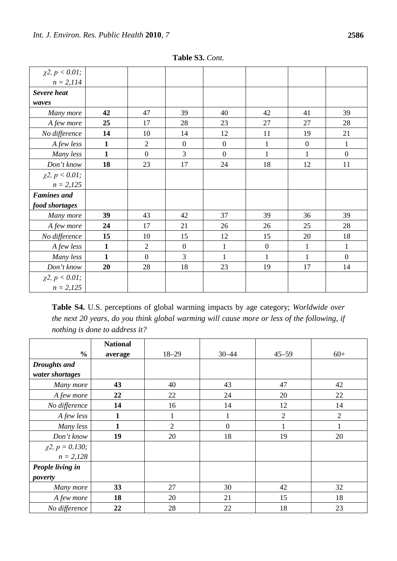| $\chi^2$ , $p < 0.01$ ; |              |                |                  |                  |                  |                  |                |
|-------------------------|--------------|----------------|------------------|------------------|------------------|------------------|----------------|
| $n = 2,114$             |              |                |                  |                  |                  |                  |                |
| <b>Severe heat</b>      |              |                |                  |                  |                  |                  |                |
| waves                   |              |                |                  |                  |                  |                  |                |
| Many more               | 42           | 47             | 39               | 40               | 42               | 41               | 39             |
| A few more              | 25           | 17             | 28               | 23               | 27               | 27               | 28             |
| No difference           | 14           | 10             | 14               | 12               | 11               | 19               | 21             |
| A few less              | $\mathbf{1}$ | $\mathfrak{2}$ | $\boldsymbol{0}$ | $\boldsymbol{0}$ | $\mathbf{1}$     | $\boldsymbol{0}$ | $\mathbf{1}$   |
| Many less               | $\mathbf{1}$ | $\overline{0}$ | $\overline{3}$   | $\overline{0}$   | $\mathbf{1}$     | $\mathbf{1}$     | $\overline{0}$ |
| Don't know              | 18           | 23             | 17               | 24               | 18               | 12               | 11             |
| $\chi^2$ , $p < 0.01$ ; |              |                |                  |                  |                  |                  |                |
| $n = 2,125$             |              |                |                  |                  |                  |                  |                |
| <b>Famines</b> and      |              |                |                  |                  |                  |                  |                |
| food shortages          |              |                |                  |                  |                  |                  |                |
| Many more               | 39           | 43             | 42               | 37               | 39               | 36               | 39             |
| A few more              | 24           | 17             | 21               | 26               | 26               | 25               | 28             |
| No difference           | 15           | 10             | 15               | 12               | 15               | 20               | 18             |
| A few less              | 1            | $\overline{2}$ | $\boldsymbol{0}$ | 1                | $\boldsymbol{0}$ | $\mathbf{1}$     | $\mathbf{1}$   |
| Many less               | 1            | $\overline{0}$ | 3                |                  | 1                | 1                | $\overline{0}$ |
| Don't know              | 20           | 28             | 18               | 23               | 19               | 17               | 14             |
| $\chi^2$ , $p < 0.01$ ; |              |                |                  |                  |                  |                  |                |
| $n = 2,125$             |              |                |                  |                  |                  |                  |                |

**Table S3.** *Cont.*

**Table S4.** U.S. perceptions of global warming impacts by age category; *Worldwide over the next 20 years, do you think global warming will cause more or less of the following, if nothing is done to address it?*

|                         | <b>National</b> |                |                  |                |                |
|-------------------------|-----------------|----------------|------------------|----------------|----------------|
| $\frac{6}{6}$           | average         | $18 - 29$      | $30 - 44$        | $45 - 59$      | $60+$          |
| <b>Droughts</b> and     |                 |                |                  |                |                |
| water shortages         |                 |                |                  |                |                |
| Many more               | 43              | 40             | 43               | 47             | 42             |
| A few more              | 22              | 22             | 24               | 20             | 22             |
| No difference           | 14              | 16             | 14               | 12             | 14             |
| A few less              | $\mathbf{1}$    |                | 1                | $\overline{2}$ | $\overline{2}$ |
| Many less               | $\mathbf{1}$    | $\overline{2}$ | $\boldsymbol{0}$ | 1              |                |
| Don't know              | 19              | 20             | 18               | 19             | 20             |
| $\chi$ 2, $p = 0.130$ ; |                 |                |                  |                |                |
| $n = 2,128$             |                 |                |                  |                |                |
| People living in        |                 |                |                  |                |                |
| poverty                 |                 |                |                  |                |                |
| Many more               | 33              | 27             | 30               | 42             | 32             |
| A few more              | 18              | 20             | 21               | 15             | 18             |
| No difference           | 22              | 28             | 22               | 18             | 23             |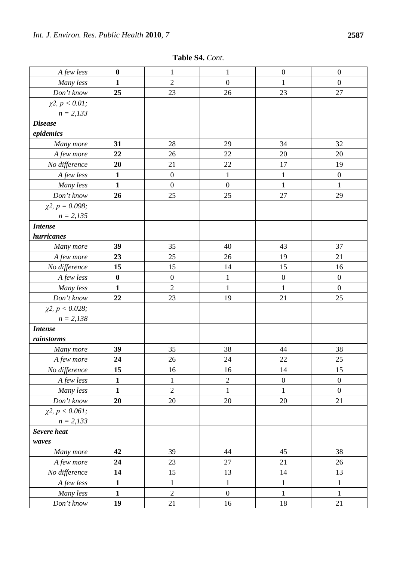| A few less               | $\boldsymbol{0}$ | $\mathbf{1}$     | $\mathbf{1}$     | $\boldsymbol{0}$ | $\boldsymbol{0}$ |
|--------------------------|------------------|------------------|------------------|------------------|------------------|
| Many less                | $\mathbf{1}$     | $\overline{2}$   | $\boldsymbol{0}$ | 1                | $\boldsymbol{0}$ |
| Don't know               | 25               | 23               | 26               | 23               | 27               |
| $\chi^2$ , $p < 0.01$ ;  |                  |                  |                  |                  |                  |
| $n = 2,133$              |                  |                  |                  |                  |                  |
| <b>Disease</b>           |                  |                  |                  |                  |                  |
| epidemics                |                  |                  |                  |                  |                  |
| Many more                | 31               | 28               | 29               | 34               | 32               |
| A few more               | 22               | 26               | 22               | 20               | 20               |
| No difference            | 20               | 21               | 22               | 17               | 19               |
| A few less               | $\mathbf{1}$     | $\boldsymbol{0}$ | $\mathbf{1}$     | $\mathbf{1}$     | $\boldsymbol{0}$ |
| Many less                | $\mathbf{1}$     | $\boldsymbol{0}$ | $\boldsymbol{0}$ | $\mathbf{1}$     | $\mathbf{1}$     |
| Don't know               | 26               | 25               | 25               | 27               | 29               |
| $\chi$ 2, $p = 0.098$ ;  |                  |                  |                  |                  |                  |
| $n = 2,135$              |                  |                  |                  |                  |                  |
| <b>Intense</b>           |                  |                  |                  |                  |                  |
| hurricanes               |                  |                  |                  |                  |                  |
| Many more                | 39               | 35               | 40               | 43               | 37               |
| A few more               | 23               | 25               | 26               | 19               | 21               |
| No difference            | 15               | 15               | 14               | 15               | 16               |
| A few less               | $\boldsymbol{0}$ | $\boldsymbol{0}$ | 1                | $\boldsymbol{0}$ | $\boldsymbol{0}$ |
| Many less                | $\mathbf{1}$     | $\sqrt{2}$       | $\mathbf{1}$     | $\mathbf{1}$     | $\boldsymbol{0}$ |
| Don't know               | 22               | 23               | 19               | 21               | 25               |
| $\chi$ 2, $p < 0.028$ ;  |                  |                  |                  |                  |                  |
| $n = 2,138$              |                  |                  |                  |                  |                  |
| <b>Intense</b>           |                  |                  |                  |                  |                  |
| rainstorms               |                  |                  |                  |                  |                  |
| Many more                | 39               | 35               | 38               | 44               | 38               |
| A few more               | 24               | 26               | 24               | 22               | 25               |
| No difference            | 15               | 16               | 16               | 14               | 15               |
| A few less               | $\mathbf{1}$     | $\mathbf{1}$     | $\sqrt{2}$       | $\boldsymbol{0}$ | $\boldsymbol{0}$ |
| Many less                | $\mathbf{1}$     | $\overline{2}$   | $\mathbf{1}$     | 1                | $\boldsymbol{0}$ |
| Don't know               | 20               | 20               | $20\,$           | 20               | 21               |
| $\chi^2$ , $p < 0.061$ ; |                  |                  |                  |                  |                  |
| $n = 2,133$              |                  |                  |                  |                  |                  |
| <b>Severe</b> heat       |                  |                  |                  |                  |                  |
| waves                    |                  |                  |                  |                  |                  |
| Many more                | 42               | 39               | 44               | 45               | 38               |
| A few more               | 24               | 23               | $27\,$           | 21               | 26               |
| No difference            | 14               | 15               | 13               | 14               | 13               |
| A few less               | $\mathbf{1}$     | $\mathbf{1}$     | $\mathbf{1}$     | $\mathbf{1}$     | $\mathbf{1}$     |
| Many less                | $\mathbf{1}$     | $\overline{2}$   | $\boldsymbol{0}$ | $\mathbf{1}$     | $\mathbf{1}$     |
| Don't know               | 19               | 21               | 16               | 18               | 21               |

**Table S4.** *Cont.*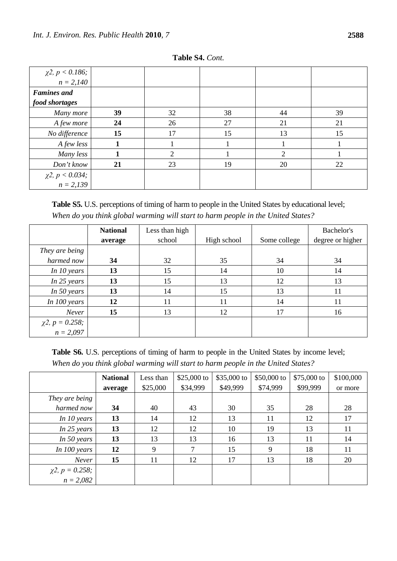| $\chi$ 2, <i>p</i> < 0.186;<br><i>n</i> = 2,140 |    |    |    |                |    |
|-------------------------------------------------|----|----|----|----------------|----|
|                                                 |    |    |    |                |    |
| <b>Famines</b> and                              |    |    |    |                |    |
| food shortages                                  |    |    |    |                |    |
| Many more                                       | 39 | 32 | 38 | 44             | 39 |
| A few more                                      | 24 | 26 | 27 | 21             | 21 |
| No difference                                   | 15 | 17 | 15 | 13             | 15 |
| A few less                                      |    |    |    |                |    |
| Many less                                       |    | ↑  |    | $\mathfrak{D}$ |    |
| Don't know                                      | 21 | 23 | 19 | 20             | 22 |
|                                                 |    |    |    |                |    |
| $\chi^2$ , $p < 0.034$ ;<br>$n = 2,139$         |    |    |    |                |    |

**Table S4.** *Cont.*

**Table S5.** U.S. perceptions of timing of harm to people in the United States by educational level; *When do you think global warming will start to harm people in the United States?*

|                                        | <b>National</b> | Less than high |             |              | Bachelor's       |
|----------------------------------------|-----------------|----------------|-------------|--------------|------------------|
|                                        | average         | school         | High school | Some college | degree or higher |
| They are being                         |                 |                |             |              |                  |
| harmed now                             | 34              | 32             | 35          | 34           | 34               |
| In $10$ years                          | 13              | 15             | 14          | 10           | 14               |
| In 25 years                            | 13              | 15             | 13          | 12           | 13               |
| In 50 years                            | 13              | 14             | 15          | 13           | 11               |
| In $100$ years                         | 12              | 11             | 11          | 14           | 11               |
| Never                                  | 15              | 13             | 12          | 17           | 16               |
|                                        |                 |                |             |              |                  |
| $\chi$ 2, $p = 0.258$ ;<br>$n = 2,097$ |                 |                |             |              |                  |

Table S6. U.S. perceptions of timing of harm to people in the United States by income level; *When do you think global warming will start to harm people in the United States?*

|                                        | <b>National</b> | Less than | \$25,000 to | \$35,000 to | $$50,000$ to | $$75,000$ to | \$100,000 |
|----------------------------------------|-----------------|-----------|-------------|-------------|--------------|--------------|-----------|
|                                        | average         | \$25,000  | \$34,999    | \$49,999    | \$74,999     | \$99,999     | or more   |
| They are being                         |                 |           |             |             |              |              |           |
| harmed now                             | 34              | 40        | 43          | 30          | 35           | 28           | 28        |
| In $10$ years                          | 13              | 14        | 12          | 13          | 11           | 12           | 17        |
| In $25$ years                          | 13              | 12        | 12          | 10          | 19           | 13           | 11        |
| In 50 years                            | 13              | 13        | 13          | 16          | 13           | 11           | 14        |
| In 100 years                           | 12              | 9         | 7           | 15          | 9            | 18           | 11        |
| Never                                  | 15              | 11        | 12          | 17          | 13           | 18           | 20        |
|                                        |                 |           |             |             |              |              |           |
| $\chi$ 2, $p = 0.258$ ;<br>$n = 2,082$ |                 |           |             |             |              |              |           |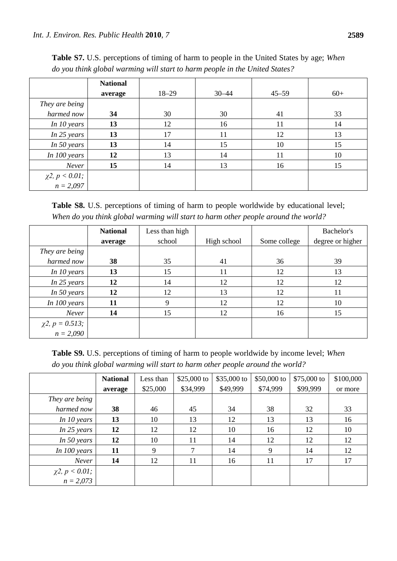|                                        | <b>National</b><br>average | $18 - 29$ | $30 - 44$ | $45 - 59$ | $60+$ |
|----------------------------------------|----------------------------|-----------|-----------|-----------|-------|
| They are being                         |                            |           |           |           |       |
| harmed now                             | 34                         | 30        | 30        | 41        | 33    |
| In 10 years                            | 13                         | 12        | 16        | 11        | 14    |
| In 25 years                            | 13                         | 17        | 11        | 12        | 13    |
| In 50 years                            | 13                         | 14        | 15        | 10        | 15    |
| In 100 years                           | 12                         | 13        | 14        | 11        | 10    |
| Never                                  | 15                         | 14        | 13        | 16        | 15    |
|                                        |                            |           |           |           |       |
| $\chi^2$ , $p < 0.01$ ;<br>$n = 2,097$ |                            |           |           |           |       |

**Table S7.** U.S. perceptions of timing of harm to people in the United States by age; *When do you think global warming will start to harm people in the United States?*

Table S8. U.S. perceptions of timing of harm to people worldwide by educational level; *When do you think global warming will start to harm other people around the world?*

|                                        | <b>National</b> | Less than high |             |              | Bachelor's       |
|----------------------------------------|-----------------|----------------|-------------|--------------|------------------|
|                                        | average         | school         | High school | Some college | degree or higher |
| They are being                         |                 |                |             |              |                  |
| harmed now                             | 38              | 35             | 41          | 36           | 39               |
| In $10$ years                          | 13              | 15             | 11          | 12           | 13               |
| In $25$ years                          | 12              | 14             | 12          | 12           | 12               |
| In 50 years                            | 12              | 12             | 13          | 12           | 11               |
| In $100$ years                         | 11              | 9              | 12          | 12           | 10               |
| Never                                  | 14              | 15             | 12          | 16           | 15               |
|                                        |                 |                |             |              |                  |
| $\chi$ 2, $p = 0.513$ ;<br>$n = 2,090$ |                 |                |             |              |                  |

**Table S9.** U.S. perceptions of timing of harm to people worldwide by income level; *When do you think global warming will start to harm other people around the world?*

|                                        | <b>National</b> | Less than | \$25,000 to | \$35,000 to | \$50,000 to | $$75,000$ to | \$100,000 |
|----------------------------------------|-----------------|-----------|-------------|-------------|-------------|--------------|-----------|
|                                        | average         | \$25,000  | \$34,999    | \$49,999    | \$74,999    | \$99,999     | or more   |
| They are being                         |                 |           |             |             |             |              |           |
| harmed now                             | 38              | 46        | 45          | 34          | 38          | 32           | 33        |
| In 10 years                            | 13              | 10        | 13          | 12          | 13          | 13           | 16        |
| In 25 years                            | 12              | 12        | 12          | 10          | 16          | 12           | 10        |
| In 50 years                            | 12              | 10        | 11          | 14          | 12          | 12           | 12        |
| In $100$ years                         | 11              | 9         | 7           | 14          | 9           | 14           | 12        |
| Never                                  | 14              | 12        | 11          | 16          | 11          | 17           | 17        |
|                                        |                 |           |             |             |             |              |           |
| $\chi^2$ , $p < 0.01$ ;<br>$n = 2,073$ |                 |           |             |             |             |              |           |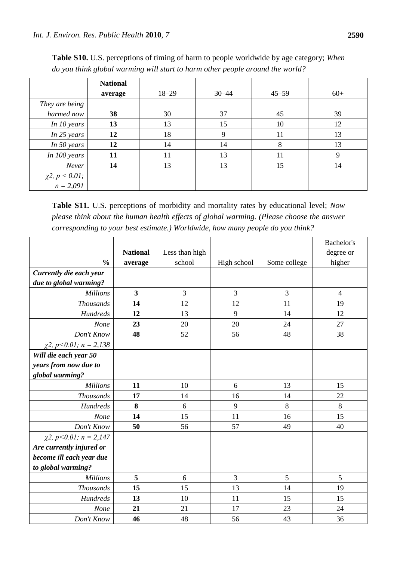|                                        | <b>National</b><br>average | $18 - 29$ | $30 - 44$ | $45 - 59$ | $60+$ |
|----------------------------------------|----------------------------|-----------|-----------|-----------|-------|
| They are being                         |                            |           |           |           |       |
| harmed now                             | 38                         | 30        | 37        | 45        | 39    |
| In 10 years                            | 13                         | 13        | 15        | 10        | 12    |
| In $25$ years                          | 12                         | 18        | 9         | 11        | 13    |
| In 50 years                            | 12                         | 14        | 14        | 8         | 13    |
| In 100 years                           | 11                         | 11        | 13        | 11        | 9     |
| Never                                  | 14                         | 13        | 13        | 15        | 14    |
|                                        |                            |           |           |           |       |
| $\chi^2$ , $p < 0.01$ ;<br>$n = 2,091$ |                            |           |           |           |       |

**Table S10.** U.S. perceptions of timing of harm to people worldwide by age category; *When do you think global warming will start to harm other people around the world?*

**Table S11.** U.S. perceptions of morbidity and mortality rates by educational level; *Now please think about the human health effects of global warming. (Please choose the answer corresponding to your best estimate.) Worldwide, how many people do you think?*

|                               |                         |                |             |              | Bachelor's     |
|-------------------------------|-------------------------|----------------|-------------|--------------|----------------|
|                               | <b>National</b>         | Less than high |             |              | degree or      |
| $\frac{0}{0}$                 | average                 | school         | High school | Some college | higher         |
| Currently die each year       |                         |                |             |              |                |
| due to global warming?        |                         |                |             |              |                |
| <b>Millions</b>               | $\overline{\mathbf{3}}$ | 3              | 3           | 3            | $\overline{4}$ |
| <b>Thousands</b>              | 14                      | 12             | 12          | 11           | 19             |
| <b>Hundreds</b>               | 12                      | 13             | 9           | 14           | 12             |
| None                          | 23                      | 20             | 20          | 24           | 27             |
| Don't Know                    | 48                      | 52             | 56          | 48           | 38             |
| $\chi$ 2, p < 0.01; n = 2,138 |                         |                |             |              |                |
| Will die each year 50         |                         |                |             |              |                |
| years from now due to         |                         |                |             |              |                |
| global warming?               |                         |                |             |              |                |
| <b>Millions</b>               | 11                      | 10             | 6           | 13           | 15             |
| <b>Thousands</b>              | 17                      | 14             | 16          | 14           | 22             |
| Hundreds                      | 8                       | 6              | 9           | 8            | 8              |
| None                          | 14                      | 15             | 11          | 16           | 15             |
| Don't Know                    | 50                      | 56             | 57          | 49           | 40             |
| $\chi$ 2, p < 0.01; n = 2,147 |                         |                |             |              |                |
| Are currently injured or      |                         |                |             |              |                |
| become ill each year due      |                         |                |             |              |                |
| to global warming?            |                         |                |             |              |                |
| <b>Millions</b>               | 5                       | 6              | 3           | 5            | 5              |
| <b>Thousands</b>              | 15                      | 15             | 13          | 14           | 19             |
| Hundreds                      | 13                      | 10             | 11          | 15           | 15             |
| None                          | 21                      | 21             | 17          | 23           | 24             |
| Don't Know                    | 46                      | 48             | 56          | 43           | 36             |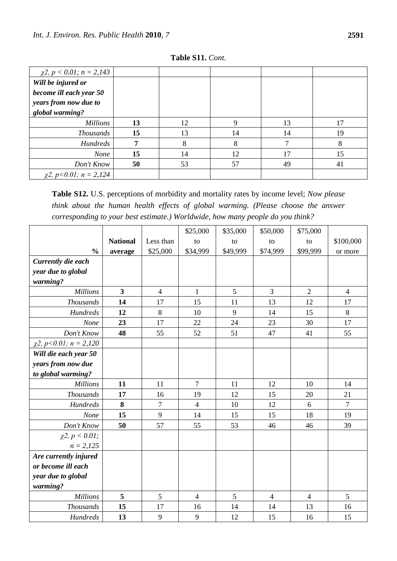| $\chi$ 2, p < 0.01; n = 2,143 |    |    |    |    |    |
|-------------------------------|----|----|----|----|----|
| Will be injured or            |    |    |    |    |    |
| become ill each year 50       |    |    |    |    |    |
| years from now due to         |    |    |    |    |    |
| global warming?               |    |    |    |    |    |
| <b>Millions</b>               | 13 | 12 | 9  | 13 | 17 |
| <b>Thousands</b>              | 15 | 13 | 14 | 14 | 19 |
| <b>Hundreds</b>               | 7  | 8  | 8  |    | 8  |
| None                          | 15 | 14 | 12 | 17 | 15 |
| Don't Know                    | 50 | 53 | 57 | 49 | 41 |
| $\chi$ 2, p < 0.01; n = 2,124 |    |    |    |    |    |

**Table S11.** *Cont.*

**Table S12.** U.S. perceptions of morbidity and mortality rates by income level; *Now please think about the human health effects of global warming. (Please choose the answer corresponding to your best estimate.) Worldwide, how many people do you think?*

|                               |                         |                | \$25,000       | \$35,000 | \$50,000       | \$75,000       |                  |
|-------------------------------|-------------------------|----------------|----------------|----------|----------------|----------------|------------------|
|                               | <b>National</b>         | Less than      | to             | to       | to             | to             | \$100,000        |
| $\frac{0}{0}$                 | average                 | \$25,000       | \$34,999       | \$49,999 | \$74,999       | \$99,999       | or more          |
| Currently die each            |                         |                |                |          |                |                |                  |
| year due to global            |                         |                |                |          |                |                |                  |
| warming?                      |                         |                |                |          |                |                |                  |
| <b>Millions</b>               | $\overline{\mathbf{3}}$ | $\overline{4}$ | $\mathbf{1}$   | 5        | 3              | $\overline{2}$ | $\overline{4}$   |
| <b>Thousands</b>              | 14                      | 17             | 15             | 11       | 13             | 12             | 17               |
| <b>Hundreds</b>               | 12                      | $\,8\,$        | 10             | 9        | 14             | 15             | $\,8\,$          |
| None                          | 23                      | 17             | 22             | 24       | 23             | 30             | 17               |
| Don't Know                    | 48                      | 55             | 52             | 51       | 47             | 41             | 55               |
| $\chi$ 2, p < 0.01; n = 2,120 |                         |                |                |          |                |                |                  |
| Will die each year 50         |                         |                |                |          |                |                |                  |
| years from now due            |                         |                |                |          |                |                |                  |
| to global warming?            |                         |                |                |          |                |                |                  |
| <b>Millions</b>               | 11                      | 11             | $\overline{7}$ | 11       | 12             | 10             | 14               |
| <b>Thousands</b>              | 17                      | 16             | 19             | 12       | 15             | 20             | 21               |
| <b>Hundreds</b>               | 8                       | 7              | $\overline{4}$ | 10       | 12             | 6              | $\boldsymbol{7}$ |
| None                          | 15                      | 9              | 14             | 15       | 15             | 18             | 19               |
| Don't Know                    | 50                      | 57             | 55             | 53       | 46             | 46             | 39               |
| $\chi^2$ , $p < 0.01$ ;       |                         |                |                |          |                |                |                  |
| $n = 2,125$                   |                         |                |                |          |                |                |                  |
| Are currently injured         |                         |                |                |          |                |                |                  |
| or become ill each            |                         |                |                |          |                |                |                  |
| year due to global            |                         |                |                |          |                |                |                  |
| warming?                      |                         |                |                |          |                |                |                  |
| <b>Millions</b>               | 5                       | 5              | $\overline{4}$ | 5        | $\overline{4}$ | $\overline{4}$ | 5                |
| <b>Thousands</b>              | 15                      | 17             | 16             | 14       | 14             | 13             | 16               |
| <b>Hundreds</b>               | 13                      | 9              | 9              | 12       | 15             | 16             | 15               |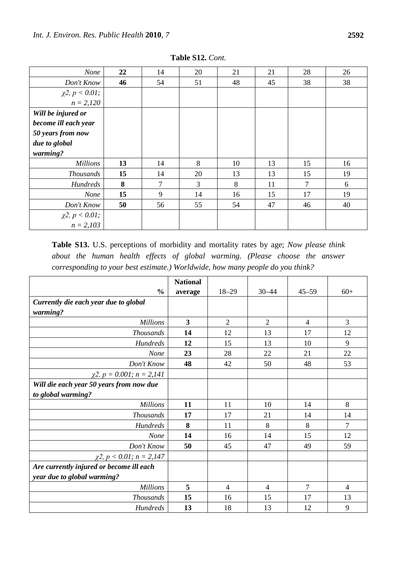| <b>None</b>             | 22 | 14             | 20 | 21 | 21 | 28             | 26 |
|-------------------------|----|----------------|----|----|----|----------------|----|
| Don't Know              | 46 | 54             | 51 | 48 | 45 | 38             | 38 |
| $\chi^2$ , $p < 0.01$ ; |    |                |    |    |    |                |    |
| $n = 2,120$             |    |                |    |    |    |                |    |
| Will be injured or      |    |                |    |    |    |                |    |
| become ill each year    |    |                |    |    |    |                |    |
| 50 years from now       |    |                |    |    |    |                |    |
| due to global           |    |                |    |    |    |                |    |
| warming?                |    |                |    |    |    |                |    |
| <b>Millions</b>         | 13 | 14             | 8  | 10 | 13 | 15             | 16 |
| <b>Thousands</b>        | 15 | 14             | 20 | 13 | 13 | 15             | 19 |
| <b>Hundreds</b>         | 8  | $\overline{7}$ | 3  | 8  | 11 | $\overline{7}$ | 6  |
| <b>None</b>             | 15 | 9              | 14 | 16 | 15 | 17             | 19 |
| Don't Know              | 50 | 56             | 55 | 54 | 47 | 46             | 40 |
| $\chi^2$ , $p < 0.01$ ; |    |                |    |    |    |                |    |
| $n = 2,103$             |    |                |    |    |    |                |    |

**Table S12.** *Cont.*

**Table S13.** U.S. perceptions of morbidity and mortality rates by age; *Now please think about the human health effects of global warming. (Please choose the answer corresponding to your best estimate.) Worldwide, how many people do you think?*

|                                          | <b>National</b>         |                |                |                |       |
|------------------------------------------|-------------------------|----------------|----------------|----------------|-------|
| $\frac{0}{0}$                            | average                 | $18 - 29$      | $30 - 44$      | $45 - 59$      | $60+$ |
| Currently die each year due to global    |                         |                |                |                |       |
| warming?                                 |                         |                |                |                |       |
| <b>Millions</b>                          | $\overline{\mathbf{3}}$ | $\overline{2}$ | $\overline{2}$ | $\overline{4}$ | 3     |
| <b>Thousands</b>                         | 14                      | 12             | 13             | 17             | 12    |
| <b>Hundreds</b>                          | 12                      | 15             | 13             | 10             | 9     |
| <b>None</b>                              | 23                      | 28             | 22             | 21             | 22    |
| Don't Know                               | 48                      | 42             | 50             | 48             | 53    |
| $\chi$ 2, p = 0.001; n = 2,141           |                         |                |                |                |       |
| Will die each year 50 years from now due |                         |                |                |                |       |
| to global warming?                       |                         |                |                |                |       |
| <b>Millions</b>                          | 11                      | 11             | 10             | 14             | 8     |
| <b>Thousands</b>                         | 17                      | 17             | 21             | 14             | 14    |
| <b>Hundreds</b>                          | 8                       | 11             | 8              | 8              | 7     |
| <b>None</b>                              | 14                      | 16             | 14             | 15             | 12    |
| Don't Know                               | 50                      | 45             | 47             | 49             | 59    |
| $\chi$ 2, p < 0.01; n = 2,147            |                         |                |                |                |       |
| Are currently injured or become ill each |                         |                |                |                |       |
| year due to global warming?              |                         |                |                |                |       |
| <b>Millions</b>                          | 5                       | $\overline{4}$ | $\overline{4}$ | 7              | 4     |
| <b>Thousands</b>                         | 15                      | 16             | 15             | 17             | 13    |
| <b>Hundreds</b>                          | 13                      | 18             | 13             | 12             | 9     |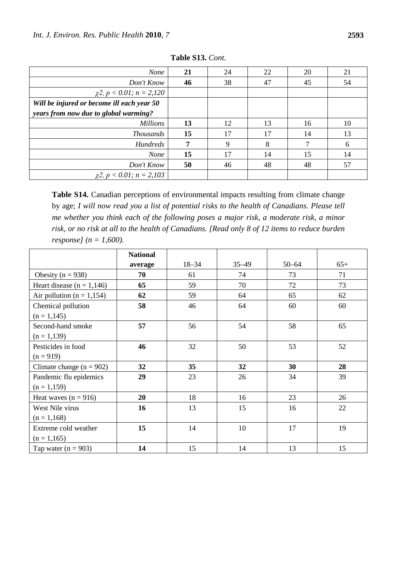| <b>None</b>                                | 21 | 24 | 22 | 20 | 21 |
|--------------------------------------------|----|----|----|----|----|
| Don't Know                                 | 46 | 38 | 47 | 45 | 54 |
| $\chi$ 2, p < 0.01; n = 2,120              |    |    |    |    |    |
| Will be injured or become ill each year 50 |    |    |    |    |    |
| years from now due to global warming?      |    |    |    |    |    |
| <b>Millions</b>                            | 13 | 12 | 13 | 16 | 10 |
| <b>Thousands</b>                           | 15 | 17 | 17 | 14 | 13 |
| <b>Hundreds</b>                            | 7  | 9  | 8  |    | 6  |
| <b>None</b>                                | 15 | 17 | 14 | 15 | 14 |
| Don't Know                                 | 50 | 46 | 48 | 48 | 57 |
| $\chi$ 2, p < 0.01; n = 2,103              |    |    |    |    |    |

**Table S13.** *Cont.*

**Table S14.** Canadian perceptions of environmental impacts resulting from climate change by age; *I will now read you a list of potential risks to the health of Canadians. Please tell me whether you think each of the following poses a major risk, a moderate risk, a minor risk, or no risk at all to the health of Canadians. [Read only 8 of 12 items to reduce burden response] (n = 1,600).*

|                               | <b>National</b> |           |           |           |       |
|-------------------------------|-----------------|-----------|-----------|-----------|-------|
|                               | average         | $18 - 34$ | $35 - 49$ | $50 - 64$ | $65+$ |
| Obesity ( $n = 938$ )         | 70              | 61        | 74        | 73        | 71    |
| Heart disease ( $n = 1,146$ ) | 65              | 59        | 70        | 72        | 73    |
| Air pollution ( $n = 1,154$ ) | 62              | 59        | 64        | 65        | 62    |
| Chemical pollution            | 58              | 46        | 64        | 60        | 60    |
| $(n = 1, 145)$                |                 |           |           |           |       |
| Second-hand smoke             | 57              | 56        | 54        | 58        | 65    |
| $(n = 1, 139)$                |                 |           |           |           |       |
| Pesticides in food            | 46              | 32        | 50        | 53        | 52    |
| $(n = 919)$                   |                 |           |           |           |       |
| Climate change $(n = 902)$    | 32              | 35        | 32        | 30        | 28    |
| Pandemic flu epidemics        | 29              | 23        | 26        | 34        | 39    |
| $(n = 1,159)$                 |                 |           |           |           |       |
| Heat waves $(n = 916)$        | 20              | 18        | 16        | 23        | 26    |
| West Nile virus               | 16              | 13        | 15        | 16        | 22    |
| $(n = 1,168)$                 |                 |           |           |           |       |
| Extreme cold weather          | 15              | 14        | 10        | 17        | 19    |
| $(n = 1,165)$                 |                 |           |           |           |       |
| Tap water $(n = 903)$         | 14              | 15        | 14        | 13        | 15    |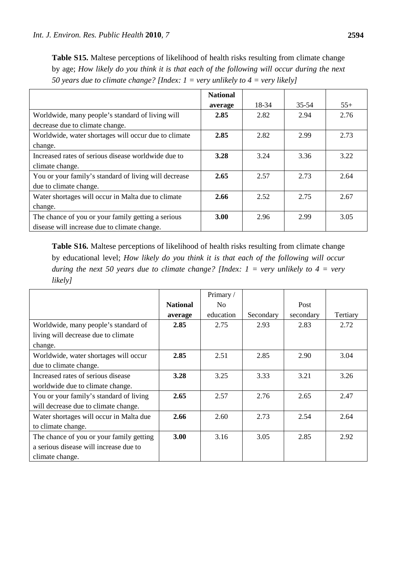Table S15. Maltese perceptions of likelihood of health risks resulting from climate change by age; *How likely do you think it is that each of the following will occur during the next 50 years due to climate change? [Index: 1 = very unlikely to 4 = very likely]*

|                                                       | <b>National</b> |       |           |       |
|-------------------------------------------------------|-----------------|-------|-----------|-------|
|                                                       | average         | 18-34 | $35 - 54$ | $55+$ |
| Worldwide, many people's standard of living will      | 2.85            | 2.82  | 2.94      | 2.76  |
| decrease due to climate change.                       |                 |       |           |       |
| Worldwide, water shortages will occur due to climate  | 2.85            | 2.82  | 2.99      | 2.73  |
| change.                                               |                 |       |           |       |
| Increased rates of serious disease worldwide due to   | 3.28            | 3.24  | 3.36      | 3.22  |
| climate change.                                       |                 |       |           |       |
| You or your family's standard of living will decrease | 2.65            | 2.57  | 2.73      | 2.64  |
| due to climate change.                                |                 |       |           |       |
| Water shortages will occur in Malta due to climate    | 2.66            | 2.52  | 2.75      | 2.67  |
| change.                                               |                 |       |           |       |
| The chance of you or your family getting a serious    | 3.00            | 2.96  | 2.99      | 3.05  |
| disease will increase due to climate change.          |                 |       |           |       |

Table S16. Maltese perceptions of likelihood of health risks resulting from climate change by educational level; *How likely do you think it is that each of the following will occur during the next 50 years due to climate change? [Index: 1 = very unlikely to 4 = very likely]*

|                                          |                 | Primary /      |           |           |          |
|------------------------------------------|-----------------|----------------|-----------|-----------|----------|
|                                          | <b>National</b> | N <sub>0</sub> |           | Post      |          |
|                                          | average         | education      | Secondary | secondary | Tertiary |
| Worldwide, many people's standard of     | 2.85            | 2.75           | 2.93      | 2.83      | 2.72     |
| living will decrease due to climate      |                 |                |           |           |          |
| change.                                  |                 |                |           |           |          |
| Worldwide, water shortages will occur    | 2.85            | 2.51           | 2.85      | 2.90      | 3.04     |
| due to climate change.                   |                 |                |           |           |          |
| Increased rates of serious disease       | 3.28            | 3.25           | 3.33      | 3.21      | 3.26     |
| worldwide due to climate change.         |                 |                |           |           |          |
| You or your family's standard of living  | 2.65            | 2.57           | 2.76      | 2.65      | 2.47     |
| will decrease due to climate change.     |                 |                |           |           |          |
| Water shortages will occur in Malta due  | 2.66            | 2.60           | 2.73      | 2.54      | 2.64     |
| to climate change.                       |                 |                |           |           |          |
| The chance of you or your family getting | 3.00            | 3.16           | 3.05      | 2.85      | 2.92     |
| a serious disease will increase due to   |                 |                |           |           |          |
| climate change.                          |                 |                |           |           |          |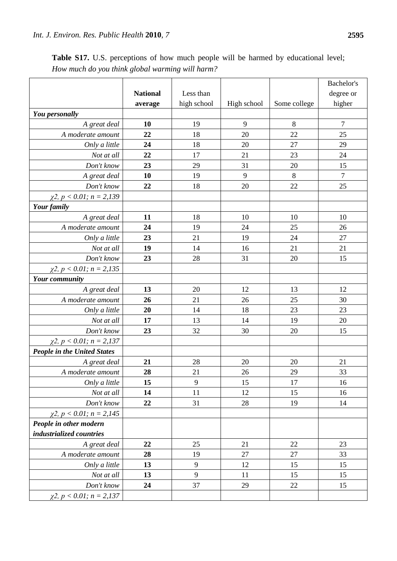|                                    |                 |             |             |              | Bachelor's     |
|------------------------------------|-----------------|-------------|-------------|--------------|----------------|
|                                    | <b>National</b> | Less than   |             |              | degree or      |
|                                    | average         | high school | High school | Some college | higher         |
| You personally                     |                 |             |             |              |                |
| A great deal                       | 10              | 19          | 9           | 8            | $\tau$         |
| A moderate amount                  | 22              | 18          | 20          | 22           | 25             |
| Only a little                      | 24              | 18          | 20          | 27           | 29             |
| Not at all                         | 22              | 17          | 21          | 23           | 24             |
| Don't know                         | 23              | 29          | 31          | 20           | 15             |
| A great deal                       | 10              | 19          | 9           | 8            | $\overline{7}$ |
| Don't know                         | 22              | 18          | 20          | 22           | 25             |
| $\chi$ 2, p < 0.01; n = 2,139      |                 |             |             |              |                |
| Your family                        |                 |             |             |              |                |
| A great deal                       | 11              | 18          | 10          | 10           | 10             |
| A moderate amount                  | 24              | 19          | 24          | 25           | 26             |
| Only a little                      | 23              | 21          | 19          | 24           | 27             |
| Not at all                         | 19              | 14          | 16          | 21           | 21             |
| Don't know                         | 23              | 28          | 31          | 20           | 15             |
| $\chi$ 2, p < 0.01; n = 2,135      |                 |             |             |              |                |
| <b>Your community</b>              |                 |             |             |              |                |
| A great deal                       | 13              | 20          | 12          | 13           | 12             |
| A moderate amount                  | 26              | 21          | 26          | 25           | 30             |
| Only a little                      | 20              | 14          | 18          | 23           | 23             |
| Not at all                         | 17              | 13          | 14          | 19           | 20             |
| Don't know                         | 23              | 32          | 30          | 20           | 15             |
| $\chi$ 2, p < 0.01; n = 2,137      |                 |             |             |              |                |
| <b>People in the United States</b> |                 |             |             |              |                |
| A great deal                       | 21              | 28          | 20          | 20           | 21             |
| A moderate amount                  | 28              | 21          | 26          | 29           | 33             |
| Only a little                      | 15              | 9           | 15          | 17           | 16             |
| Not at all                         | 14              | 11          | 12          | 15           | 16             |
| Don't know                         | 22              | 31          | 28          | 19           | 14             |
| $\chi$ 2, p < 0.01; n = 2,145      |                 |             |             |              |                |
| People in other modern             |                 |             |             |              |                |
| industrialized countries           |                 |             |             |              |                |
| A great deal                       | 22              | 25          | 21          | 22           | 23             |
| A moderate amount                  | 28              | 19          | 27          | 27           | 33             |
| Only a little                      | 13              | 9           | 12          | 15           | 15             |
| Not at all                         | 13              | 9           | 11          | 15           | 15             |
| Don't know                         | 24              | 37          | 29          | 22           | 15             |
| $\chi$ 2, p < 0.01; n = 2,137      |                 |             |             |              |                |

Table S17. U.S. perceptions of how much people will be harmed by educational level; *How much do you think global warming will harm?*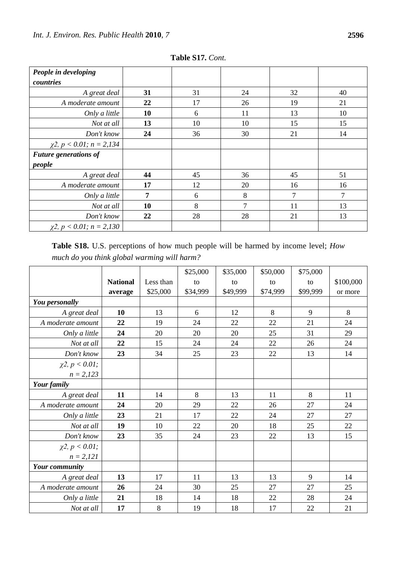| People in developing          |    |    |        |                |        |
|-------------------------------|----|----|--------|----------------|--------|
| countries                     |    |    |        |                |        |
| A great deal                  | 31 | 31 | 24     | 32             | 40     |
| A moderate amount             | 22 | 17 | 26     | 19             | 21     |
| Only a little                 | 10 | 6  | 11     | 13             | 10     |
| Not at all                    | 13 | 10 | 10     | 15             | 15     |
| Don't know                    | 24 | 36 | 30     | 21             | 14     |
| $\chi$ 2, p < 0.01; n = 2,134 |    |    |        |                |        |
| <b>Future generations of</b>  |    |    |        |                |        |
| people                        |    |    |        |                |        |
| A great deal                  | 44 | 45 | 36     | 45             | 51     |
| A moderate amount             | 17 | 12 | 20     | 16             | 16     |
| Only a little                 | 7  | 6  | 8      | $\overline{7}$ | $\tau$ |
| Not at all                    | 10 | 8  | $\tau$ | 11             | 13     |
| Don't know                    | 22 | 28 | 28     | 21             | 13     |
| $\chi$ 2, p < 0.01; n = 2,130 |    |    |        |                |        |

**Table S17.** *Cont.*

**Table S18.** U.S. perceptions of how much people will be harmed by income level; *How much do you think global warming will harm?*

|                         |                 |           | \$25,000 | \$35,000 | \$50,000 | \$75,000 |           |
|-------------------------|-----------------|-----------|----------|----------|----------|----------|-----------|
|                         | <b>National</b> | Less than | to       | to       | to       | to       | \$100,000 |
|                         | average         | \$25,000  | \$34,999 | \$49,999 | \$74,999 | \$99,999 | or more   |
| You personally          |                 |           |          |          |          |          |           |
| A great deal            | 10              | 13        | 6        | 12       | 8        | 9        | 8         |
| A moderate amount       | 22              | 19        | 24       | 22       | 22       | 21       | 24        |
| Only a little           | 24              | 20        | 20       | 20       | 25       | 31       | 29        |
| Not at all              | 22              | 15        | 24       | 24       | 22       | 26       | 24        |
| Don't know              | 23              | 34        | 25       | 23       | 22       | 13       | 14        |
| $\chi^2$ , $p < 0.01$ ; |                 |           |          |          |          |          |           |
| $n = 2,123$             |                 |           |          |          |          |          |           |
| Your family             |                 |           |          |          |          |          |           |
| A great deal            | 11              | 14        | 8        | 13       | 11       | 8        | 11        |
| A moderate amount       | 24              | 20        | 29       | 22       | 26       | 27       | 24        |
| Only a little           | 23              | 21        | 17       | 22       | 24       | 27       | 27        |
| Not at all              | 19              | 10        | 22       | 20       | 18       | 25       | 22        |
| Don't know              | 23              | 35        | 24       | 23       | 22       | 13       | 15        |
| $\chi^2$ , $p < 0.01$ ; |                 |           |          |          |          |          |           |
| $n = 2,121$             |                 |           |          |          |          |          |           |
| Your community          |                 |           |          |          |          |          |           |
| A great deal            | 13              | 17        | 11       | 13       | 13       | 9        | 14        |
| A moderate amount       | 26              | 24        | 30       | 25       | 27       | 27       | 25        |
| Only a little           | 21              | 18        | 14       | 18       | $22\,$   | 28       | 24        |
| Not at all              | 17              | $\,8\,$   | 19       | 18       | 17       | 22       | 21        |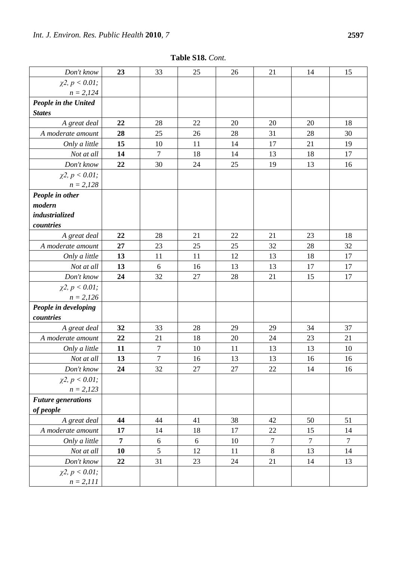| Table S18. Cont. |  |
|------------------|--|
|                  |  |

| Don't know                | 23             | 33               | 25 | 26 | 21               | 14             | 15               |
|---------------------------|----------------|------------------|----|----|------------------|----------------|------------------|
| $\chi^2$ , $p < 0.01$ ;   |                |                  |    |    |                  |                |                  |
| $n = 2,124$               |                |                  |    |    |                  |                |                  |
| People in the United      |                |                  |    |    |                  |                |                  |
| <b>States</b>             |                |                  |    |    |                  |                |                  |
| A great deal              | 22             | 28               | 22 | 20 | 20               | 20             | 18               |
| A moderate amount         | 28             | 25               | 26 | 28 | 31               | 28             | 30               |
| Only a little             | 15             | 10               | 11 | 14 | 17               | 21             | 19               |
| Not at all                | 14             | $\tau$           | 18 | 14 | 13               | 18             | 17               |
| Don't know                | 22             | 30               | 24 | 25 | 19               | 13             | 16               |
| $\chi^2$ , $p < 0.01$ ;   |                |                  |    |    |                  |                |                  |
| $n = 2,128$               |                |                  |    |    |                  |                |                  |
| People in other           |                |                  |    |    |                  |                |                  |
| modern                    |                |                  |    |    |                  |                |                  |
| industrialized            |                |                  |    |    |                  |                |                  |
| countries                 |                |                  |    |    |                  |                |                  |
| A great deal              | 22             | 28               | 21 | 22 | 21               | 23             | 18               |
| A moderate amount         | 27             | 23               | 25 | 25 | 32               | 28             | 32               |
| Only a little             | 13             | 11               | 11 | 12 | 13               | 18             | 17               |
| Not at all                | 13             | 6                | 16 | 13 | 13               | 17             | 17               |
| Don't know                | 24             | 32               | 27 | 28 | 21               | 15             | 17               |
| $\chi^2$ , $p < 0.01$ ;   |                |                  |    |    |                  |                |                  |
| $n = 2,126$               |                |                  |    |    |                  |                |                  |
| People in developing      |                |                  |    |    |                  |                |                  |
| countries                 |                |                  |    |    |                  |                |                  |
| A great deal              | 32             | 33               | 28 | 29 | 29               | 34             | 37               |
| A moderate amount         | 22             | 21               | 18 | 20 | 24               | 23             | 21               |
| Only a little             | 11             | $\overline{7}$   | 10 | 11 | 13               | 13             | 10               |
| Not at all                | 13             | $\boldsymbol{7}$ | 16 | 13 | 13               | 16             | 16               |
| Don't know                | 24             | 32               | 27 | 27 | 22               | 14             | 16               |
| $\chi^2$ , $p < 0.01$ ;   |                |                  |    |    |                  |                |                  |
| $n = 2,123$               |                |                  |    |    |                  |                |                  |
| <b>Future generations</b> |                |                  |    |    |                  |                |                  |
| of people                 |                |                  |    |    |                  |                |                  |
| A great deal              | 44             | 44               | 41 | 38 | 42               | 50             | 51               |
| A moderate amount         | 17             | 14               | 18 | 17 | 22               | 15             | 14               |
| Only a little             | $\overline{7}$ | $\sqrt{6}$       | 6  | 10 | $\boldsymbol{7}$ | $\overline{7}$ | $\boldsymbol{7}$ |
| Not at all                | 10             | 5                | 12 | 11 | $8\,$            | 13             | 14               |
| Don't know                | 22             | 31               | 23 | 24 | 21               | 14             | 13               |
| $\chi^2$ , $p < 0.01$ ;   |                |                  |    |    |                  |                |                  |
| $n = 2,111$               |                |                  |    |    |                  |                |                  |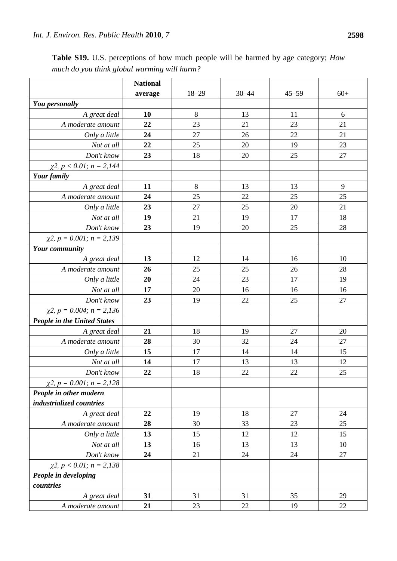|                                    | <b>National</b> |           |           |           |       |
|------------------------------------|-----------------|-----------|-----------|-----------|-------|
|                                    | average         | $18 - 29$ | $30 - 44$ | $45 - 59$ | $60+$ |
| You personally                     |                 |           |           |           |       |
| A great deal                       | 10              | 8         | 13        | 11        | 6     |
| A moderate amount                  | 22              | 23        | 21        | 23        | 21    |
| Only a little                      | 24              | 27        | 26        | 22        | 21    |
| Not at all                         | 22              | 25        | 20        | 19        | 23    |
| Don't know                         | 23              | 18        | 20        | 25        | 27    |
| $\chi$ 2, p < 0.01; n = 2,144      |                 |           |           |           |       |
| Your family                        |                 |           |           |           |       |
| A great deal                       | 11              | $8\,$     | 13        | 13        | 9     |
| A moderate amount                  | 24              | 25        | 22        | 25        | 25    |
| Only a little                      | 23              | 27        | 25        | 20        | 21    |
| Not at all                         | 19              | 21        | 19        | 17        | 18    |
| Don't know                         | 23              | 19        | 20        | 25        | 28    |
| $\chi$ 2, p = 0.001; n = 2,139     |                 |           |           |           |       |
| <b>Your community</b>              |                 |           |           |           |       |
| A great deal                       | 13              | 12        | 14        | 16        | 10    |
| A moderate amount                  | 26              | 25        | 25        | 26        | 28    |
| Only a little                      | 20              | 24        | 23        | 17        | 19    |
| Not at all                         | 17              | 20        | 16        | 16        | 16    |
| Don't know                         | 23              | 19        | 22        | 25        | 27    |
| $\chi$ 2, p = 0.004; n = 2,136     |                 |           |           |           |       |
| <b>People in the United States</b> |                 |           |           |           |       |
| A great deal                       | 21              | 18        | 19        | 27        | 20    |
| A moderate amount                  | 28              | 30        | 32        | 24        | 27    |
| Only a little                      | 15              | 17        | 14        | 14        | 15    |
| Not at all                         | 14              | 17        | 13        | 13        | 12    |
| Don't know                         | 22              | 18        | 22        | 22        | 25    |
| $\chi$ 2, p = 0.001; n = 2,128     |                 |           |           |           |       |
| People in other modern             |                 |           |           |           |       |
| industrialized countries           |                 |           |           |           |       |
| A great deal                       | 22              | 19        | 18        | 27        | 24    |
| A moderate amount                  | 28              | 30        | 33        | 23        | 25    |
| Only a little                      | 13              | 15        | 12        | 12        | 15    |
| Not at all                         | 13              | 16        | 13        | 13        | 10    |
| Don't know                         | 24              | 21        | 24        | 24        | 27    |
| $\chi$ 2, p < 0.01; n = 2,138      |                 |           |           |           |       |
| People in developing               |                 |           |           |           |       |
| countries                          |                 |           |           |           |       |
| A great deal                       | 31              | 31        | 31        | 35        | 29    |
| A moderate amount                  | 21              | 23        | 22        | 19        | 22    |

**Table S19.** U.S. perceptions of how much people will be harmed by age category; *How much do you think global warming will harm?*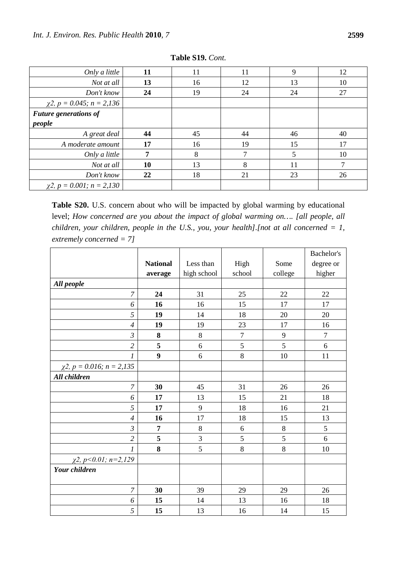| Only a little                  | 11 | 11 | 11 | 9  | 12 |
|--------------------------------|----|----|----|----|----|
| Not at all                     | 13 | 16 | 12 | 13 | 10 |
| Don't know                     | 24 | 19 | 24 | 24 | 27 |
| $\chi$ 2, p = 0.045; n = 2,136 |    |    |    |    |    |
| <b>Future generations of</b>   |    |    |    |    |    |
| people                         |    |    |    |    |    |
| A great deal                   | 44 | 45 | 44 | 46 | 40 |
| A moderate amount              | 17 | 16 | 19 | 15 | 17 |
| Only a little                  | 7  | 8  | ⇁  | 5  | 10 |
| Not at all                     | 10 | 13 | 8  | 11 |    |
| Don't know                     | 22 | 18 | 21 | 23 | 26 |
| $\chi$ 2, p = 0.001; n = 2,130 |    |    |    |    |    |

**Table S19.** *Cont.*

**Table S20.** U.S. concern about who will be impacted by global warming by educational level; *How concerned are you about the impact of global warming on....* [all people, all *children, your children, people in the U.S., you, your health].[not at all concerned = 1, extremely concerned = 7]*

|                                |                  |             |                  |         | Bachelor's |
|--------------------------------|------------------|-------------|------------------|---------|------------|
|                                | <b>National</b>  | Less than   | High             | Some    | degree or  |
|                                | average          | high school | school           | college | higher     |
| All people                     |                  |             |                  |         |            |
| 7                              | 24               | 31          | 25               | 22      | 22         |
| 6                              | 16               | 16          | 15               | 17      | 17         |
| 5                              | 19               | 14          | 18               | 20      | 20         |
| $\overline{4}$                 | 19               | 19          | 23               | 17      | 16         |
| $\mathfrak{Z}$                 | 8                | 8           | $\boldsymbol{7}$ | 9       | $\tau$     |
| $\overline{c}$                 | 5                | 6           | 5                | 5       | 6          |
| 1                              | $\boldsymbol{9}$ | 6           | 8                | 10      | 11         |
| $\chi$ 2, p = 0.016; n = 2,135 |                  |             |                  |         |            |
| All children                   |                  |             |                  |         |            |
| 7                              | 30               | 45          | 31               | 26      | 26         |
| 6                              | 17               | 13          | 15               | 21      | 18         |
| 5                              | 17               | 9           | 18               | 16      | 21         |
| $\overline{4}$                 | 16               | 17          | 18               | 15      | 13         |
| $\mathfrak{Z}$                 | 7                | $\,8\,$     | 6                | $8\,$   | 5          |
| $\overline{c}$                 | 5                | 3           | 5                | 5       | 6          |
| 1                              | 8                | 5           | 8                | 8       | 10         |
| $\chi$ 2, p < 0.01; n = 2,129  |                  |             |                  |         |            |
| <b>Your children</b>           |                  |             |                  |         |            |
|                                |                  |             |                  |         |            |
| $\overline{7}$                 | 30               | 39          | 29               | 29      | 26         |
| 6                              | 15               | 14          | 13               | 16      | 18         |
| 5                              | 15               | 13          | 16               | 14      | 15         |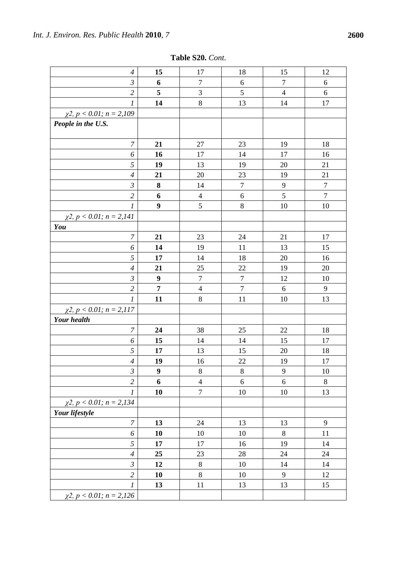| $\boldsymbol{4}$                   | 15               | 17               | 18               | 15             | 12               |
|------------------------------------|------------------|------------------|------------------|----------------|------------------|
| $\mathfrak{Z}$                     | 6                | 7                | 6                | $\tau$         | 6                |
| $\overline{c}$                     | 5                | $\mathfrak{Z}$   | 5                | $\overline{4}$ | 6                |
| $\boldsymbol{l}$                   | 14               | $8\,$            | 13               | 14             | 17               |
| $\chi$ 2, p < 0.01; n = 2,109      |                  |                  |                  |                |                  |
| People in the U.S.                 |                  |                  |                  |                |                  |
|                                    |                  |                  |                  |                |                  |
| $\boldsymbol{7}$                   | 21               | 27               | 23               | 19             | 18               |
| 6                                  | 16               | 17               | 14               | 17             | 16               |
| $\sqrt{2}$                         | 19               | 13               | 19               | 20             | 21               |
| $\overline{4}$                     | 21               | 20               | 23               | 19             | 21               |
| $\mathfrak{Z}$                     | 8                | 14               | $\boldsymbol{7}$ | 9              | $\boldsymbol{7}$ |
| $\overline{c}$                     | 6                | $\overline{4}$   | 6                | 5              | $\boldsymbol{7}$ |
| 1                                  | $\boldsymbol{9}$ | $\mathfrak{S}$   | $8\,$            | 10             | 10               |
| $\chi$ 2, p < 0.01; n = 2,141      |                  |                  |                  |                |                  |
| You                                |                  |                  |                  |                |                  |
| $\boldsymbol{7}$                   | 21               | 23               | 24               | 21             | 17               |
| 6                                  | 14               | 19               | 11               | 13             | 15               |
| 5                                  | 17               | 14               | 18               | 20             | 16               |
| $\overline{4}$                     | 21               | 25               | 22               | 19             | 20               |
| $\mathfrak{Z}$                     | $\boldsymbol{9}$ | $\boldsymbol{7}$ | $\boldsymbol{7}$ | 12             | 10               |
| $\overline{c}$                     | $\overline{7}$   | $\overline{4}$   | $\boldsymbol{7}$ | 6              | $\mathbf{9}$     |
| $\boldsymbol{l}$                   | 11               | $8\,$            | 11               | 10             | 13               |
| $\chi$ 2, $p < 0.01$ ; $n = 2,117$ |                  |                  |                  |                |                  |
| <b>Your health</b>                 |                  |                  |                  |                |                  |
| $\overline{7}$                     | 24               | 38               | 25               | 22             | 18               |
| 6                                  | 15               | 14               | 14               | 15             | 17               |
| 5                                  | 17               | 13               | 15               | 20             | 18               |
| $\overline{A}$                     | 19               | 16               | 22               | 19             | $17\,$           |
| $\mathfrak{Z}$                     | $\boldsymbol{9}$ | 8                | 8                | 9              | 10               |
| $\overline{2}$                     | 6                | $\overline{4}$   | 6                | $\sqrt{6}$     | $8\,$            |
| $\boldsymbol{l}$                   | 10               | $\boldsymbol{7}$ | 10               | 10             | 13               |
| $\chi$ 2, p < 0.01; n = 2,134      |                  |                  |                  |                |                  |
| Your lifestyle                     |                  |                  |                  |                |                  |
| $\boldsymbol{7}$                   | 13               | 24               | 13               | 13             | $\mathbf{9}$     |
| 6                                  | 10               | 10               | 10               | $8\phantom{1}$ | 11               |
| 5                                  | 17               | 17               | 16               | 19             | 14               |
| $\boldsymbol{4}$                   | 25               | 23               | 28               | 24             | 24               |
| $\mathfrak{Z}$                     | 12               | $\,8\,$          | 10               | 14             | 14               |
| $\mathfrak{2}$                     | 10               | $8\,$            | 10               | $\mathbf{9}$   | 12               |
| $\boldsymbol{l}$                   | 13               | 11               | 13               | 13             | 15               |
| $\chi$ 2, $p < 0.01$ ; $n = 2,126$ |                  |                  |                  |                |                  |

**Table S20.** *Cont.*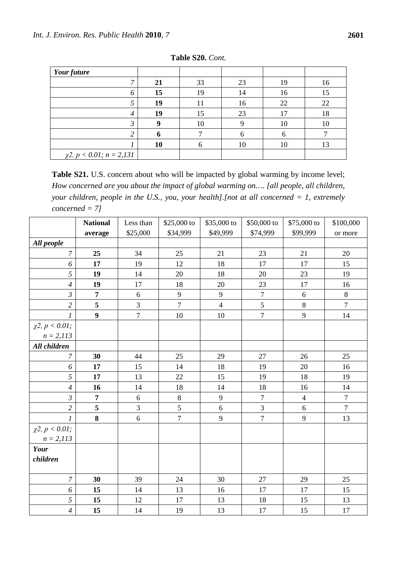| Your future                   |    |    |    |    |    |
|-------------------------------|----|----|----|----|----|
| ⇁                             | 21 | 33 | 23 | 19 | 16 |
| 6                             | 15 | 19 | 14 | 16 | 15 |
| 5                             | 19 | 11 | 16 | 22 | 22 |
| 4                             | 19 | 15 | 23 |    | 18 |
| J                             |    | 10 |    | 10 | 10 |
| ◠                             |    |    |    |    |    |
|                               | 10 |    | 10 | 10 | 13 |
| $\chi$ 2, p < 0.01; n = 2,131 |    |    |    |    |    |

**Table S20.** *Cont.*

Table S21. U.S. concern about who will be impacted by global warming by income level; *How concerned are you about the impact of global warming on…. [all people, all children, your children, people in the U.S., you, your health].[not at all concerned = 1, extremely concerned = 7]*

|                         | <b>National</b>  | Less than      | \$25,000 to      | \$35,000 to      | \$50,000 to      | \$75,000 to    | \$100,000        |
|-------------------------|------------------|----------------|------------------|------------------|------------------|----------------|------------------|
|                         | average          | \$25,000       | \$34,999         | \$49,999         | \$74,999         | \$99,999       | or more          |
| All people              |                  |                |                  |                  |                  |                |                  |
| $\overline{7}$          | 25               | 34             | 25               | 21               | 23               | 21             | 20               |
| 6                       | 17               | 19             | 12               | 18               | 17               | 17             | 15               |
| 5                       | 19               | 14             | 20               | 18               | 20               | 23             | 19               |
| $\overline{4}$          | 19               | 17             | 18               | 20               | 23               | 17             | 16               |
| $\mathfrak{Z}$          | $\overline{7}$   | 6              | 9                | 9                | $\boldsymbol{7}$ | $\sqrt{6}$     | $\,8\,$          |
| $\overline{2}$          | 5                | $\mathfrak{Z}$ | $\overline{7}$   | $\overline{4}$   | 5                | $\,8\,$        | $\overline{7}$   |
| $\boldsymbol{l}$        | $\boldsymbol{9}$ | $\overline{7}$ | $10\,$           | 10               | $\boldsymbol{7}$ | 9              | 14               |
| $\chi^2$ , $p < 0.01$ ; |                  |                |                  |                  |                  |                |                  |
| $n = 2,113$             |                  |                |                  |                  |                  |                |                  |
| All children            |                  |                |                  |                  |                  |                |                  |
| $\overline{7}$          | 30               | 44             | 25               | 29               | 27               | 26             | 25               |
| 6                       | 17               | 15             | 14               | 18               | 19               | 20             | 16               |
| 5                       | 17               | 13             | 22               | 15               | 19               | 18             | 19               |
| $\overline{4}$          | 16               | 14             | 18               | 14               | 18               | 16             | 14               |
| $\mathfrak{Z}$          | $\overline{7}$   | 6              | $\,8\,$          | 9                | $\overline{7}$   | $\overline{4}$ | $\boldsymbol{7}$ |
| $\overline{2}$          | 5                | 3              | 5                | $\boldsymbol{6}$ | 3                | 6              | $\overline{7}$   |
| $\boldsymbol{l}$        | $\bf{8}$         | 6              | $\boldsymbol{7}$ | $\mathbf{9}$     | $\boldsymbol{7}$ | $\mathbf{9}$   | 13               |
| $\chi^2$ , $p < 0.01$ ; |                  |                |                  |                  |                  |                |                  |
| $n = 2,113$             |                  |                |                  |                  |                  |                |                  |
| Your                    |                  |                |                  |                  |                  |                |                  |
| children                |                  |                |                  |                  |                  |                |                  |
| $\boldsymbol{7}$        | 30               | 39             | 24               | 30               | 27               | 29             | 25               |
| 6                       | 15               | 14             | 13               | 16               | 17               | 17             | 15               |
| 5                       | 15               | 12             | 17               | 13               | 18               | 15             | 13               |
| $\overline{4}$          | 15               | 14             | 19               | 13               | 17               | 15             | 17               |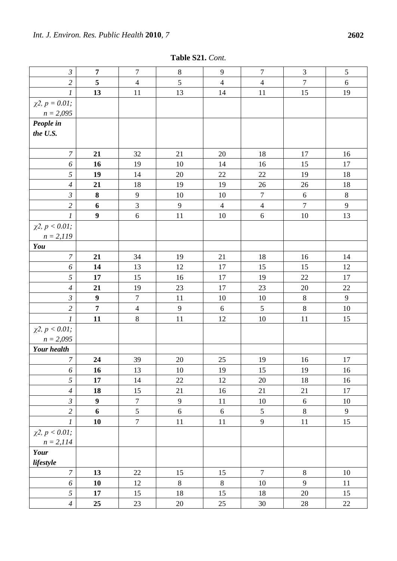| Table S21. Cont. |  |
|------------------|--|
|------------------|--|

| $\mathfrak{Z}$                         | $\overline{7}$   | $\overline{7}$   | $8\,$  | 9              | $\overline{7}$ | $\mathfrak{Z}$   | 5            |
|----------------------------------------|------------------|------------------|--------|----------------|----------------|------------------|--------------|
| $\overline{c}$                         | 5                | $\overline{4}$   | 5      | $\overline{4}$ | $\overline{4}$ | $\boldsymbol{7}$ | $\sqrt{6}$   |
| $\mathfrak{1}$                         | 13               | 11               | 13     | 14             | 11             | 15               | 19           |
| $\chi^2$ , $p = 0.01$ ;                |                  |                  |        |                |                |                  |              |
| $n = 2,095$                            |                  |                  |        |                |                |                  |              |
| People in                              |                  |                  |        |                |                |                  |              |
| the U.S.                               |                  |                  |        |                |                |                  |              |
|                                        |                  |                  |        |                |                |                  |              |
| $\overline{7}$                         | 21               | 32               | 21     | 20             | 18             | 17               | 16           |
| 6                                      | 16               | 19               | 10     | 14             | 16             | 15               | 17           |
| 5                                      | 19               | 14               | 20     | 22             | 22             | 19               | 18           |
| $\overline{4}$                         | 21               | 18               | 19     | 19             | 26             | 26               | 18           |
| $\mathfrak{Z}$                         | $\bf 8$          | $\overline{9}$   | 10     | 10             | $\tau$         | $6\,$            | $\,8\,$      |
| $\overline{2}$                         | 6                | 3                | 9      | $\overline{4}$ | $\overline{4}$ | $\overline{7}$   | $\mathbf{9}$ |
| $\boldsymbol{l}$                       | $\boldsymbol{9}$ | $\sqrt{6}$       | 11     | 10             | $\sqrt{6}$     | 10               | 13           |
| $\chi^2$ , $p < 0.01$ ;                |                  |                  |        |                |                |                  |              |
| $n = 2,119$                            |                  |                  |        |                |                |                  |              |
| You                                    |                  |                  |        |                |                |                  |              |
| $\boldsymbol{7}$                       | 21               | 34               | 19     | 21             | 18             | 16               | 14           |
| 6                                      | 14               | 13               | 12     | 17             | 15             | 15               | 12           |
| 5                                      | 17               | 15               | 16     | 17             | 19             | 22               | 17           |
| $\overline{4}$                         | 21               | 19               | 23     | 17             | 23             | 20               | 22           |
| $\mathfrak{Z}$                         | $\boldsymbol{9}$ | $\boldsymbol{7}$ | 11     | 10             | 10             | $\,8\,$          | $\mathbf{9}$ |
| $\overline{c}$                         | $\overline{7}$   | $\overline{4}$   | 9      | $6\,$          | 5              | $\,8\,$          | 10           |
| $\mathfrak{1}$                         | 11               | $8\,$            | 11     | 12             | $10\,$         | 11               | 15           |
| $\chi^2$ , $p < 0.01$ ;                |                  |                  |        |                |                |                  |              |
| $n = 2,095$                            |                  |                  |        |                |                |                  |              |
| <b>Your</b> health                     |                  |                  |        |                |                |                  |              |
| $\boldsymbol{7}$                       | 24               | 39               | 20     | 25             | 19             | 16               | 17           |
| 6                                      | 16               | 13               | $10\,$ | 19             | 15             | 19               | 16           |
| 5                                      | 17               | 14               | 22     | 12             | 20             | 18               | 16           |
| $\overline{4}$                         | 18               | 15               | 21     | 16             | 21             | 21               | 17           |
| $\mathfrak{Z}$                         | $\boldsymbol{9}$ | $\overline{7}$   | 9      | $11\,$         | $10\,$         | $\overline{6}$   | $10\,$       |
| $\overline{c}$                         | 6                | 5                | 6      | $6\,$          | $\mathfrak{S}$ | $\,8\,$          | 9            |
| $\boldsymbol{l}$                       | 10               | $\overline{7}$   | 11     | 11             | $\mathbf{9}$   | $11\,$           | 15           |
| $\chi^2$ , $p < 0.01$ ;<br>$n = 2,114$ |                  |                  |        |                |                |                  |              |
| Your                                   |                  |                  |        |                |                |                  |              |
| lifestyle                              |                  |                  |        |                |                |                  |              |
| $\boldsymbol{7}$                       | 13               | 22               | 15     | 15             | $\overline{7}$ | $8\,$            | $10\,$       |
| 6                                      | 10               | 12               | $8\,$  | $8\,$          | 10             | 9                | 11           |
| 5                                      | 17               | 15               | 18     | 15             | $18\,$         | 20               | 15           |
| $\overline{4}$                         | 25               | 23               | 20     | 25             | $30\,$         | 28               | 22           |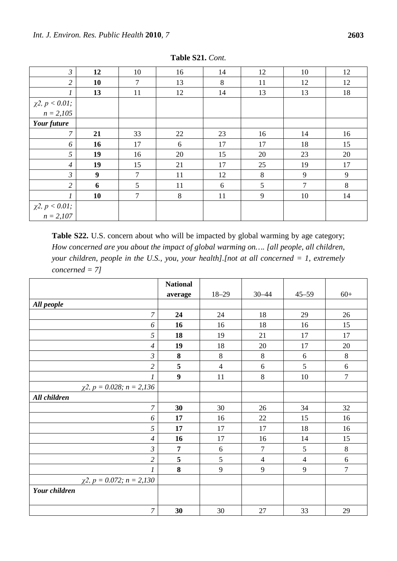| $\mathfrak{Z}$                         | 12 | 10     | 16 | 14 | 12 | 10 | 12 |
|----------------------------------------|----|--------|----|----|----|----|----|
| $\overline{2}$                         | 10 | $\tau$ | 13 | 8  | 11 | 12 | 12 |
| 1                                      | 13 | 11     | 12 | 14 | 13 | 13 | 18 |
| $\chi^2$ , $p < 0.01$ ;                |    |        |    |    |    |    |    |
| $n = 2,105$                            |    |        |    |    |    |    |    |
| Your future                            |    |        |    |    |    |    |    |
| 7                                      | 21 | 33     | 22 | 23 | 16 | 14 | 16 |
| 6                                      | 16 | 17     | 6  | 17 | 17 | 18 | 15 |
| 5                                      | 19 | 16     | 20 | 15 | 20 | 23 | 20 |
| $\overline{4}$                         | 19 | 15     | 21 | 17 | 25 | 19 | 17 |
| $\mathfrak{Z}$                         | 9  | $\tau$ | 11 | 12 | 8  | 9  | 9  |
| $\overline{2}$                         | 6  | 5      | 11 | 6  | 5  | 7  | 8  |
|                                        | 10 | $\tau$ | 8  | 11 | 9  | 10 | 14 |
|                                        |    |        |    |    |    |    |    |
| $\chi^2$ , $p < 0.01$ ;<br>$n = 2,107$ |    |        |    |    |    |    |    |

**Table S21.** *Cont.*

Table S22. U.S. concern about who will be impacted by global warming by age category; *How concerned are you about the impact of global warming on…. [all people, all children, your children, people in the U.S., you, your health].[not at all concerned = 1, extremely concerned = 7]*

|                                     | <b>National</b> |                |                |                |                |
|-------------------------------------|-----------------|----------------|----------------|----------------|----------------|
|                                     | average         | $18 - 29$      | $30 - 44$      | $45 - 59$      | $60+$          |
| All people                          |                 |                |                |                |                |
| $\overline{7}$                      | 24              | 24             | 18             | 29             | 26             |
| 6                                   | 16              | 16             | 18             | 16             | 15             |
| 5                                   | 18              | 19             | 21             | 17             | 17             |
| $\overline{4}$                      | 19              | 18             | 20             | 17             | 20             |
| $\mathfrak{Z}$                      | 8               | $\,8\,$        | 8              | 6              | $8\,$          |
| $\overline{2}$                      | 5               | $\overline{4}$ | 6              | 5              | $\sqrt{6}$     |
| 1                                   | 9               | 11             | $8\,$          | 10             | $\overline{7}$ |
| $\chi$ 2, p = 0.028; n = 2,136      |                 |                |                |                |                |
| All children                        |                 |                |                |                |                |
| $\overline{7}$                      | 30              | 30             | 26             | 34             | 32             |
| 6                                   | 17              | 16             | 22             | 15             | 16             |
| 5                                   | 17              | 17             | 17             | 18             | 16             |
| $\overline{4}$                      | 16              | 17             | 16             | 14             | 15             |
| $\mathfrak{Z}$                      | $\overline{7}$  | 6              | $\tau$         | 5              | $8\,$          |
| $\overline{2}$                      | 5               | 5              | $\overline{4}$ | $\overline{4}$ | $\sqrt{6}$     |
| 1                                   | 8               | 9              | 9              | 9              | $\overline{7}$ |
| $\chi$ 2, $p = 0.072$ ; $n = 2,130$ |                 |                |                |                |                |
| Your children                       |                 |                |                |                |                |
| $\overline{7}$                      | 30              | $30\,$         | 27             | 33             | 29             |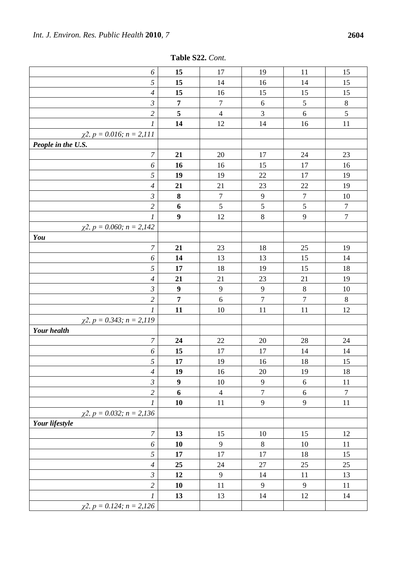| Table S22. Cont. |  |
|------------------|--|
|------------------|--|

| 6                                    | 15               | 17             | 19               | 11               | 15               |
|--------------------------------------|------------------|----------------|------------------|------------------|------------------|
| 5                                    | 15               | 14             | 16               | 14               | 15               |
| $\overline{4}$                       | 15               | 16             | 15               | 15               | 15               |
| $\mathfrak{Z}$                       | $\overline{7}$   | 7              | 6                | 5                | $\,8\,$          |
| $\overline{2}$                       | $\sqrt{5}$       | $\overline{4}$ | $\mathfrak 3$    | $6\,$            | 5                |
| 1                                    | 14               | 12             | 14               | 16               | 11               |
| $\chi$ 2, p = 0.016; n = 2,111       |                  |                |                  |                  |                  |
| People in the U.S.                   |                  |                |                  |                  |                  |
| $\boldsymbol{7}$                     | 21               | 20             | 17               | 24               | 23               |
| 6                                    | 16               | 16             | 15               | 17               | 16               |
| $\sqrt{5}$                           | 19               | 19             | 22               | 17               | 19               |
| $\overline{4}$                       | 21               | 21             | 23               | 22               | 19               |
| $\mathfrak{Z}$                       | 8                | $\tau$         | 9                | $\boldsymbol{7}$ | 10               |
| $\overline{2}$                       | 6                | 5              | 5                | 5                | $\boldsymbol{7}$ |
| $\mathfrak{1}$                       | $\boldsymbol{9}$ | 12             | $8\,$            | 9                | $\boldsymbol{7}$ |
| $\chi$ 2, p = 0.060; n = 2,142       |                  |                |                  |                  |                  |
| You                                  |                  |                |                  |                  |                  |
| $\boldsymbol{7}$                     | 21               | 23             | 18               | 25               | 19               |
| 6                                    | 14               | 13             | 13               | 15               | 14               |
| 5                                    | 17               | 18             | 19               | 15               | 18               |
| $\overline{4}$                       | 21               | 21             | 23               | 21               | 19               |
| $\mathfrak{Z}$                       | $\boldsymbol{9}$ | $\overline{9}$ | $\overline{9}$   | $8\,$            | 10               |
| $\overline{2}$                       | $\overline{7}$   | $\sqrt{6}$     | $\overline{7}$   | $\boldsymbol{7}$ | $\,8\,$          |
| $\mathcal{I}$                        | 11               | 10             | 11               | 11               | 12               |
| $\chi$ 2, $p = 0.343$ ; $n = 2,119$  |                  |                |                  |                  |                  |
| <b>Your</b> health                   |                  |                |                  |                  |                  |
| $\boldsymbol{7}$                     | 24               | 22             | 20               | 28               | 24               |
| 6                                    | 15               | 17             | 17               | 14               | 14               |
| 5                                    | 17               | 19             | 16               | 18               | 15               |
| $\overline{4}$                       | 19               | 16             | 20               | 19               | 18               |
| $\mathfrak{Z}$                       | $\boldsymbol{9}$ | 10             | 9                | $6\,$            | 11               |
| $\overline{2}$                       | 6                | $\overline{4}$ | $\boldsymbol{7}$ | $\sqrt{6}$       | $\boldsymbol{7}$ |
| 1                                    | 10               | 11             | $\mathbf{9}$     | 9                | 11               |
| $\chi$ 2, p = 0.032; n = 2,136       |                  |                |                  |                  |                  |
| Your lifestyle                       |                  |                |                  |                  |                  |
| $\overline{7}$                       | 13               | 15             | 10               | 15               | 12               |
| 6                                    | 10               | 9              | 8                | 10               | 11               |
| 5                                    | 17               | 17             | 17               | 18               | 15               |
| $\overline{4}$                       | 25               | 24             | 27               | 25               | 25               |
| $\mathfrak{Z}$                       | 12               | 9              | 14               | 11               | 13               |
| $\overline{2}$                       | 10               | 11             | 9                | 9                | 11               |
| 1                                    | 13               | 13             | 14               | 12               | 14               |
| $\chi^2$ , $p = 0.124$ ; $n = 2.126$ |                  |                |                  |                  |                  |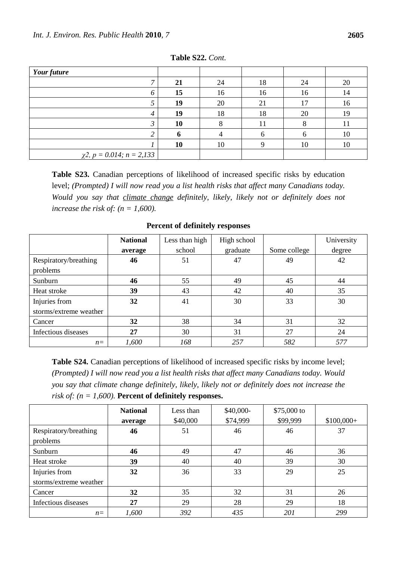| Your future                    |    |    |    |    |    |
|--------------------------------|----|----|----|----|----|
| ⇁                              | 21 | 24 | 18 | 24 | 20 |
| O                              | 15 | 16 | 16 | 16 | 14 |
|                                | 19 | 20 | 21 | 17 | 16 |
|                                | 19 | 18 | 18 | 20 | 19 |
|                                | 10 |    | 11 |    |    |
|                                |    |    |    |    | 10 |
|                                | 10 | 10 |    | 10 | 10 |
| $\chi$ 2, p = 0.014; n = 2,133 |    |    |    |    |    |

**Table S22.** *Cont.*

**Table S23.** Canadian perceptions of likelihood of increased specific risks by education level; *(Prompted) I will now read you a list health risks that affect many Canadians today. Would you say that climate change definitely, likely, likely not or definitely does not increase the risk of:*  $(n = 1,600)$ .

|                        | <b>National</b> | Less than high | High school |              | University |
|------------------------|-----------------|----------------|-------------|--------------|------------|
|                        | average         | school         | graduate    | Some college | degree     |
| Respiratory/breathing  | 46              | 51             | 47          | 49           | 42         |
| problems               |                 |                |             |              |            |
| Sunburn                | 46              | 55             | 49          | 45           | 44         |
| Heat stroke            | 39              | 43             | 42          | 40           | 35         |
| Injuries from          | 32              | 41             | 30          | 33           | 30         |
| storms/extreme weather |                 |                |             |              |            |
| Cancer                 | 32              | 38             | 34          | 31           | 32         |
| Infectious diseases    | 27              | 30             | 31          | 27           | 24         |
| $n =$                  | 1,600           | 168            | 257         | 582          | 577        |

**Percent of definitely responses**

**Table S24.** Canadian perceptions of likelihood of increased specific risks by income level; *(Prompted) I will now read you a list health risks that affect many Canadians today. Would you say that climate change definitely, likely, likely not or definitely does not increase the risk of: (n = 1,600).* **Percent of definitely responses.**

|                        | <b>National</b> | Less than | \$40,000- | \$75,000 to |             |
|------------------------|-----------------|-----------|-----------|-------------|-------------|
|                        | average         | \$40,000  | \$74,999  | \$99,999    | $$100,000+$ |
| Respiratory/breathing  | 46              | 51        | 46        | 46          | 37          |
| problems               |                 |           |           |             |             |
| Sunburn                | 46              | 49        | 47        | 46          | 36          |
| Heat stroke            | 39              | 40        | 40        | 39          | 30          |
| Injuries from          | 32              | 36        | 33        | 29          | 25          |
| storms/extreme weather |                 |           |           |             |             |
| Cancer                 | 32              | 35        | 32        | 31          | 26          |
| Infectious diseases    | 27              | 29        | 28        | 29          | 18          |
| $n =$                  | 1,600           | 392       | 435       | 201         | 299         |